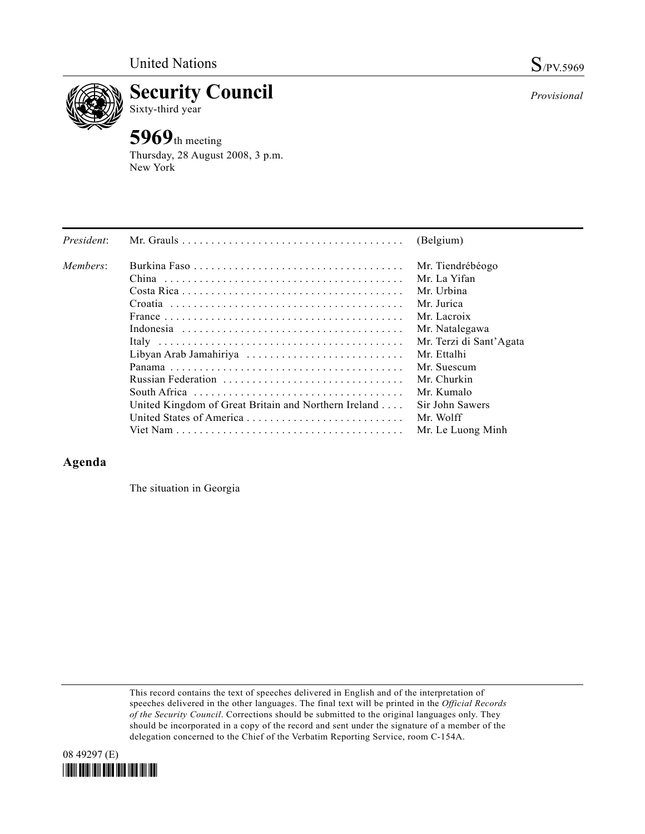

**Security Council** 

## Sixty-third year

**5969**th meeting Thursday, 28 August 2008, 3 p.m. New York

| President: |                                                      | (Belgium)               |
|------------|------------------------------------------------------|-------------------------|
| Members:   |                                                      | Mr. Tiendrébéogo        |
|            |                                                      | Mr. La Yifan            |
|            |                                                      | Mr. Urbina              |
|            |                                                      | Mr. Jurica              |
|            |                                                      | Mr. Lacroix             |
|            |                                                      | Mr. Natalegawa          |
|            |                                                      | Mr. Terzi di Sant'Agata |
|            | Libyan Arab Jamahiriya                               | Mr. Ettalhi             |
|            |                                                      | Mr. Suescum             |
|            |                                                      | Mr. Churkin             |
|            |                                                      | Mr. Kumalo              |
|            | United Kingdom of Great Britain and Northern Ireland | Sir John Sawers         |
|            |                                                      | Mr. Wolff               |
|            |                                                      | Mr. Le Luong Minh       |

## **Agenda**

The situation in Georgia

This record contains the text of speeches delivered in English and of the interpretation of speeches delivered in the other languages. The final text will be printed in the *Official Records of the Security Council*. Corrections should be submitted to the original languages only. They should be incorporated in a copy of the record and sent under the signature of a member of the delegation concerned to the Chief of the Verbatim Reporting Service, room C-154A.

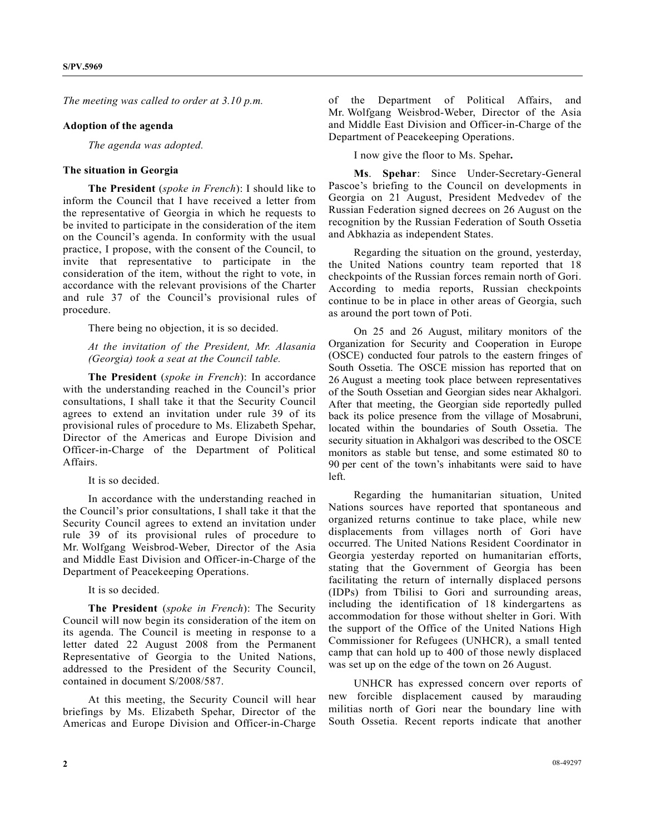*The meeting was called to order at 3.10 p.m.* 

## **Adoption of the agenda**

*The agenda was adopted.* 

## **The situation in Georgia**

 **The President** (*spoke in French*): I should like to inform the Council that I have received a letter from the representative of Georgia in which he requests to be invited to participate in the consideration of the item on the Council's agenda. In conformity with the usual practice, I propose, with the consent of the Council, to invite that representative to participate in the consideration of the item, without the right to vote, in accordance with the relevant provisions of the Charter and rule 37 of the Council's provisional rules of procedure.

There being no objection, it is so decided.

*At the invitation of the President, Mr. Alasania (Georgia) took a seat at the Council table.* 

 **The President** (*spoke in French*): In accordance with the understanding reached in the Council's prior consultations, I shall take it that the Security Council agrees to extend an invitation under rule 39 of its provisional rules of procedure to Ms. Elizabeth Spehar, Director of the Americas and Europe Division and Officer-in-Charge of the Department of Political Affairs.

It is so decided.

 In accordance with the understanding reached in the Council's prior consultations, I shall take it that the Security Council agrees to extend an invitation under rule 39 of its provisional rules of procedure to Mr. Wolfgang Weisbrod-Weber, Director of the Asia and Middle East Division and Officer-in-Charge of the Department of Peacekeeping Operations.

It is so decided.

 **The President** (*spoke in French*): The Security Council will now begin its consideration of the item on its agenda. The Council is meeting in response to a letter dated 22 August 2008 from the Permanent Representative of Georgia to the United Nations, addressed to the President of the Security Council, contained in document S/2008/587.

 At this meeting, the Security Council will hear briefings by Ms. Elizabeth Spehar, Director of the Americas and Europe Division and Officer-in-Charge of the Department of Political Affairs, and Mr. Wolfgang Weisbrod-Weber, Director of the Asia and Middle East Division and Officer-in-Charge of the Department of Peacekeeping Operations.

I now give the floor to Ms. Spehar**.** 

 **Ms**. **Spehar**: Since Under-Secretary-General Pascoe's briefing to the Council on developments in Georgia on 21 August, President Medvedev of the Russian Federation signed decrees on 26 August on the recognition by the Russian Federation of South Ossetia and Abkhazia as independent States.

 Regarding the situation on the ground, yesterday, the United Nations country team reported that 18 checkpoints of the Russian forces remain north of Gori. According to media reports, Russian checkpoints continue to be in place in other areas of Georgia, such as around the port town of Poti.

 On 25 and 26 August, military monitors of the Organization for Security and Cooperation in Europe (OSCE) conducted four patrols to the eastern fringes of South Ossetia. The OSCE mission has reported that on 26 August a meeting took place between representatives of the South Ossetian and Georgian sides near Akhalgori. After that meeting, the Georgian side reportedly pulled back its police presence from the village of Mosabruni, located within the boundaries of South Ossetia. The security situation in Akhalgori was described to the OSCE monitors as stable but tense, and some estimated 80 to 90 per cent of the town's inhabitants were said to have left.

 Regarding the humanitarian situation, United Nations sources have reported that spontaneous and organized returns continue to take place, while new displacements from villages north of Gori have occurred. The United Nations Resident Coordinator in Georgia yesterday reported on humanitarian efforts, stating that the Government of Georgia has been facilitating the return of internally displaced persons (IDPs) from Tbilisi to Gori and surrounding areas, including the identification of 18 kindergartens as accommodation for those without shelter in Gori. With the support of the Office of the United Nations High Commissioner for Refugees (UNHCR), a small tented camp that can hold up to 400 of those newly displaced was set up on the edge of the town on 26 August.

 UNHCR has expressed concern over reports of new forcible displacement caused by marauding militias north of Gori near the boundary line with South Ossetia. Recent reports indicate that another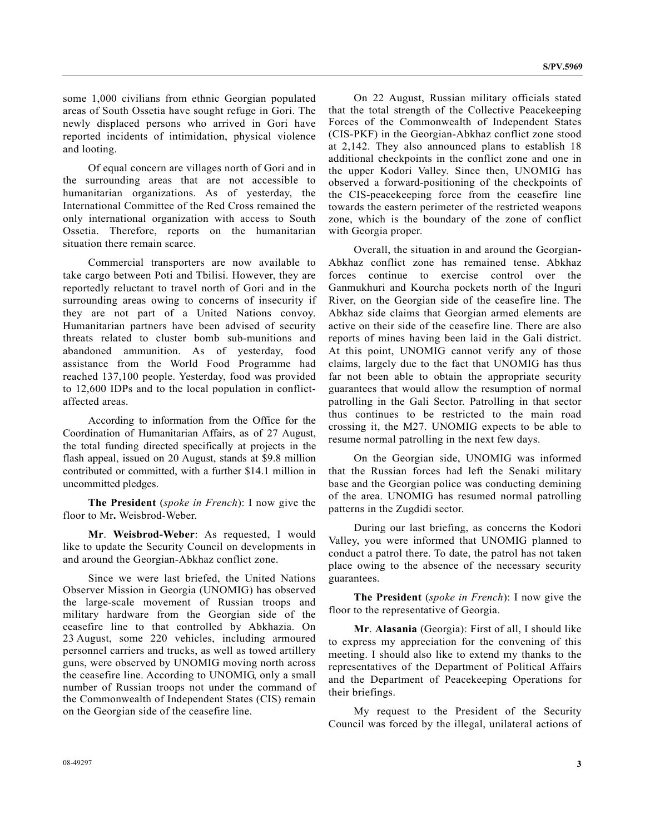some 1,000 civilians from ethnic Georgian populated areas of South Ossetia have sought refuge in Gori. The newly displaced persons who arrived in Gori have reported incidents of intimidation, physical violence and looting.

 Of equal concern are villages north of Gori and in the surrounding areas that are not accessible to humanitarian organizations. As of yesterday, the International Committee of the Red Cross remained the only international organization with access to South Ossetia. Therefore, reports on the humanitarian situation there remain scarce.

 Commercial transporters are now available to take cargo between Poti and Tbilisi. However, they are reportedly reluctant to travel north of Gori and in the surrounding areas owing to concerns of insecurity if they are not part of a United Nations convoy. Humanitarian partners have been advised of security threats related to cluster bomb sub-munitions and abandoned ammunition. As of yesterday, food assistance from the World Food Programme had reached 137,100 people. Yesterday, food was provided to 12,600 IDPs and to the local population in conflictaffected areas.

 According to information from the Office for the Coordination of Humanitarian Affairs, as of 27 August, the total funding directed specifically at projects in the flash appeal, issued on 20 August, stands at \$9.8 million contributed or committed, with a further \$14.1 million in uncommitted pledges.

 **The President** (*spoke in French*): I now give the floor to Mr**.** Weisbrod-Weber.

 **Mr**. **Weisbrod-Weber**: As requested, I would like to update the Security Council on developments in and around the Georgian-Abkhaz conflict zone.

 Since we were last briefed, the United Nations Observer Mission in Georgia (UNOMIG) has observed the large-scale movement of Russian troops and military hardware from the Georgian side of the ceasefire line to that controlled by Abkhazia. On 23 August, some 220 vehicles, including armoured personnel carriers and trucks, as well as towed artillery guns, were observed by UNOMIG moving north across the ceasefire line. According to UNOMIG, only a small number of Russian troops not under the command of the Commonwealth of Independent States (CIS) remain on the Georgian side of the ceasefire line.

 On 22 August, Russian military officials stated that the total strength of the Collective Peacekeeping Forces of the Commonwealth of Independent States (CIS-PKF) in the Georgian-Abkhaz conflict zone stood at 2,142. They also announced plans to establish 18 additional checkpoints in the conflict zone and one in the upper Kodori Valley. Since then, UNOMIG has observed a forward-positioning of the checkpoints of the CIS-peacekeeping force from the ceasefire line towards the eastern perimeter of the restricted weapons zone, which is the boundary of the zone of conflict with Georgia proper.

 Overall, the situation in and around the Georgian-Abkhaz conflict zone has remained tense. Abkhaz forces continue to exercise control over the Ganmukhuri and Kourcha pockets north of the Inguri River, on the Georgian side of the ceasefire line. The Abkhaz side claims that Georgian armed elements are active on their side of the ceasefire line. There are also reports of mines having been laid in the Gali district. At this point, UNOMIG cannot verify any of those claims, largely due to the fact that UNOMIG has thus far not been able to obtain the appropriate security guarantees that would allow the resumption of normal patrolling in the Gali Sector. Patrolling in that sector thus continues to be restricted to the main road crossing it, the M27. UNOMIG expects to be able to resume normal patrolling in the next few days.

 On the Georgian side, UNOMIG was informed that the Russian forces had left the Senaki military base and the Georgian police was conducting demining of the area. UNOMIG has resumed normal patrolling patterns in the Zugdidi sector.

 During our last briefing, as concerns the Kodori Valley, you were informed that UNOMIG planned to conduct a patrol there. To date, the patrol has not taken place owing to the absence of the necessary security guarantees.

**The President** (*spoke in French*): I now give the floor to the representative of Georgia.

**Mr**. **Alasania** (Georgia): First of all, I should like to express my appreciation for the convening of this meeting. I should also like to extend my thanks to the representatives of the Department of Political Affairs and the Department of Peacekeeping Operations for their briefings.

 My request to the President of the Security Council was forced by the illegal, unilateral actions of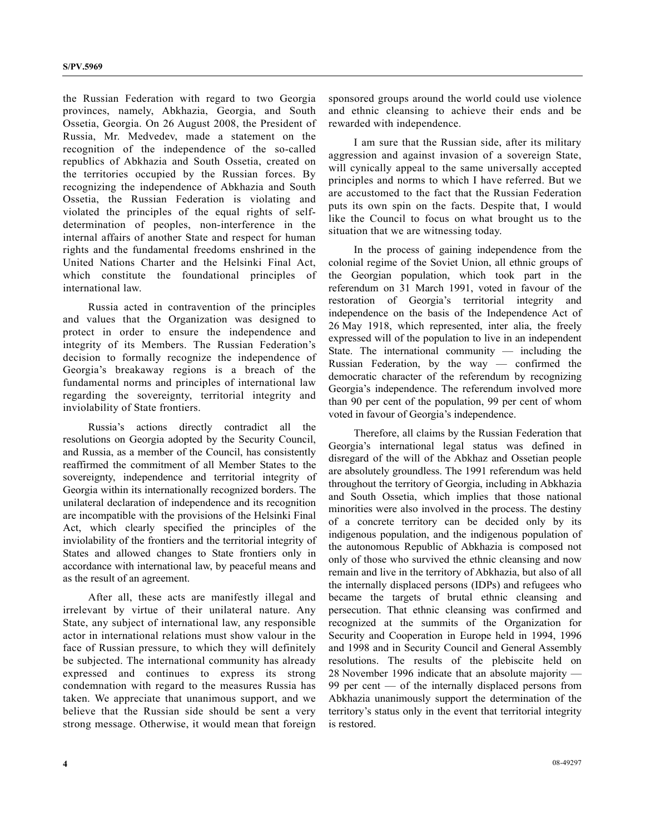the Russian Federation with regard to two Georgia provinces, namely, Abkhazia, Georgia, and South Ossetia, Georgia. On 26 August 2008, the President of Russia, Mr. Medvedev, made a statement on the recognition of the independence of the so-called republics of Abkhazia and South Ossetia, created on the territories occupied by the Russian forces. By recognizing the independence of Abkhazia and South Ossetia, the Russian Federation is violating and violated the principles of the equal rights of selfdetermination of peoples, non-interference in the internal affairs of another State and respect for human rights and the fundamental freedoms enshrined in the United Nations Charter and the Helsinki Final Act, which constitute the foundational principles of international law.

 Russia acted in contravention of the principles and values that the Organization was designed to protect in order to ensure the independence and integrity of its Members. The Russian Federation's decision to formally recognize the independence of Georgia's breakaway regions is a breach of the fundamental norms and principles of international law regarding the sovereignty, territorial integrity and inviolability of State frontiers.

 Russia's actions directly contradict all the resolutions on Georgia adopted by the Security Council, and Russia, as a member of the Council, has consistently reaffirmed the commitment of all Member States to the sovereignty, independence and territorial integrity of Georgia within its internationally recognized borders. The unilateral declaration of independence and its recognition are incompatible with the provisions of the Helsinki Final Act, which clearly specified the principles of the inviolability of the frontiers and the territorial integrity of States and allowed changes to State frontiers only in accordance with international law, by peaceful means and as the result of an agreement.

 After all, these acts are manifestly illegal and irrelevant by virtue of their unilateral nature. Any State, any subject of international law, any responsible actor in international relations must show valour in the face of Russian pressure, to which they will definitely be subjected. The international community has already expressed and continues to express its strong condemnation with regard to the measures Russia has taken. We appreciate that unanimous support, and we believe that the Russian side should be sent a very strong message. Otherwise, it would mean that foreign

sponsored groups around the world could use violence and ethnic cleansing to achieve their ends and be rewarded with independence.

 I am sure that the Russian side, after its military aggression and against invasion of a sovereign State, will cynically appeal to the same universally accepted principles and norms to which I have referred. But we are accustomed to the fact that the Russian Federation puts its own spin on the facts. Despite that, I would like the Council to focus on what brought us to the situation that we are witnessing today.

 In the process of gaining independence from the colonial regime of the Soviet Union, all ethnic groups of the Georgian population, which took part in the referendum on 31 March 1991, voted in favour of the restoration of Georgia's territorial integrity and independence on the basis of the Independence Act of 26 May 1918, which represented, inter alia, the freely expressed will of the population to live in an independent State. The international community  $-$  including the Russian Federation, by the way — confirmed the democratic character of the referendum by recognizing Georgia's independence. The referendum involved more than 90 per cent of the population, 99 per cent of whom voted in favour of Georgia's independence.

 Therefore, all claims by the Russian Federation that Georgia's international legal status was defined in disregard of the will of the Abkhaz and Ossetian people are absolutely groundless. The 1991 referendum was held throughout the territory of Georgia, including in Abkhazia and South Ossetia, which implies that those national minorities were also involved in the process. The destiny of a concrete territory can be decided only by its indigenous population, and the indigenous population of the autonomous Republic of Abkhazia is composed not only of those who survived the ethnic cleansing and now remain and live in the territory of Abkhazia, but also of all the internally displaced persons (IDPs) and refugees who became the targets of brutal ethnic cleansing and persecution. That ethnic cleansing was confirmed and recognized at the summits of the Organization for Security and Cooperation in Europe held in 1994, 1996 and 1998 and in Security Council and General Assembly resolutions. The results of the plebiscite held on 28 November 1996 indicate that an absolute majority — 99 per cent — of the internally displaced persons from Abkhazia unanimously support the determination of the territory's status only in the event that territorial integrity is restored.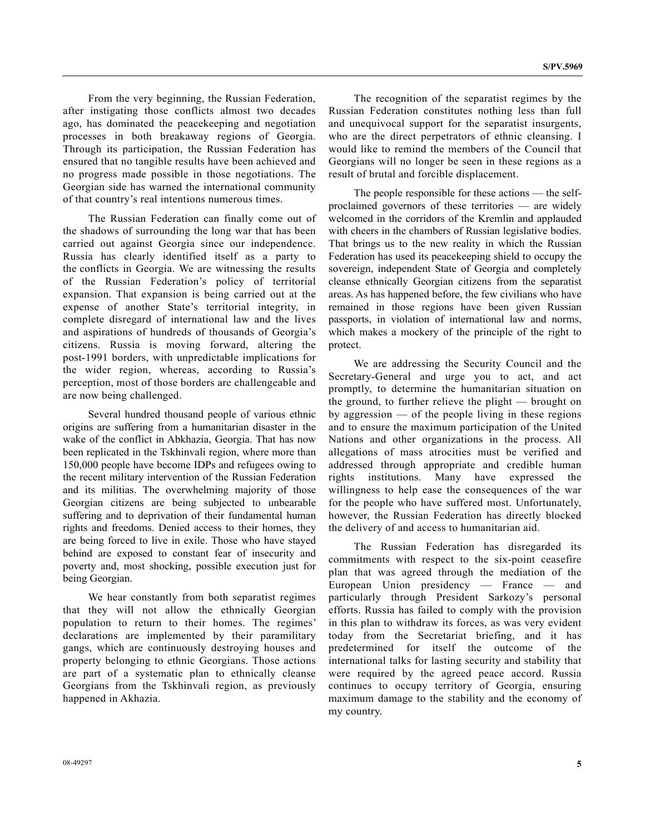From the very beginning, the Russian Federation, after instigating those conflicts almost two decades ago, has dominated the peacekeeping and negotiation processes in both breakaway regions of Georgia. Through its participation, the Russian Federation has ensured that no tangible results have been achieved and no progress made possible in those negotiations. The Georgian side has warned the international community of that country's real intentions numerous times.

 The Russian Federation can finally come out of the shadows of surrounding the long war that has been carried out against Georgia since our independence. Russia has clearly identified itself as a party to the conflicts in Georgia. We are witnessing the results of the Russian Federation's policy of territorial expansion. That expansion is being carried out at the expense of another State's territorial integrity, in complete disregard of international law and the lives and aspirations of hundreds of thousands of Georgia's citizens. Russia is moving forward, altering the post-1991 borders, with unpredictable implications for the wider region, whereas, according to Russia's perception, most of those borders are challengeable and are now being challenged.

 Several hundred thousand people of various ethnic origins are suffering from a humanitarian disaster in the wake of the conflict in Abkhazia, Georgia. That has now been replicated in the Tskhinvali region, where more than 150,000 people have become IDPs and refugees owing to the recent military intervention of the Russian Federation and its militias. The overwhelming majority of those Georgian citizens are being subjected to unbearable suffering and to deprivation of their fundamental human rights and freedoms. Denied access to their homes, they are being forced to live in exile. Those who have stayed behind are exposed to constant fear of insecurity and poverty and, most shocking, possible execution just for being Georgian.

 We hear constantly from both separatist regimes that they will not allow the ethnically Georgian population to return to their homes. The regimes' declarations are implemented by their paramilitary gangs, which are continuously destroying houses and property belonging to ethnic Georgians. Those actions are part of a systematic plan to ethnically cleanse Georgians from the Tskhinvali region, as previously happened in Akhazia.

 The recognition of the separatist regimes by the Russian Federation constitutes nothing less than full and unequivocal support for the separatist insurgents, who are the direct perpetrators of ethnic cleansing. I would like to remind the members of the Council that Georgians will no longer be seen in these regions as a result of brutal and forcible displacement.

 The people responsible for these actions — the selfproclaimed governors of these territories — are widely welcomed in the corridors of the Kremlin and applauded with cheers in the chambers of Russian legislative bodies. That brings us to the new reality in which the Russian Federation has used its peacekeeping shield to occupy the sovereign, independent State of Georgia and completely cleanse ethnically Georgian citizens from the separatist areas. As has happened before, the few civilians who have remained in those regions have been given Russian passports, in violation of international law and norms, which makes a mockery of the principle of the right to protect.

 We are addressing the Security Council and the Secretary-General and urge you to act, and act promptly, to determine the humanitarian situation on the ground, to further relieve the plight — brought on by aggression — of the people living in these regions and to ensure the maximum participation of the United Nations and other organizations in the process. All allegations of mass atrocities must be verified and addressed through appropriate and credible human rights institutions. Many have expressed the willingness to help ease the consequences of the war for the people who have suffered most. Unfortunately, however, the Russian Federation has directly blocked the delivery of and access to humanitarian aid.

 The Russian Federation has disregarded its commitments with respect to the six-point ceasefire plan that was agreed through the mediation of the European Union presidency — France — and particularly through President Sarkozy's personal efforts. Russia has failed to comply with the provision in this plan to withdraw its forces, as was very evident today from the Secretariat briefing, and it has predetermined for itself the outcome of the international talks for lasting security and stability that were required by the agreed peace accord. Russia continues to occupy territory of Georgia, ensuring maximum damage to the stability and the economy of my country.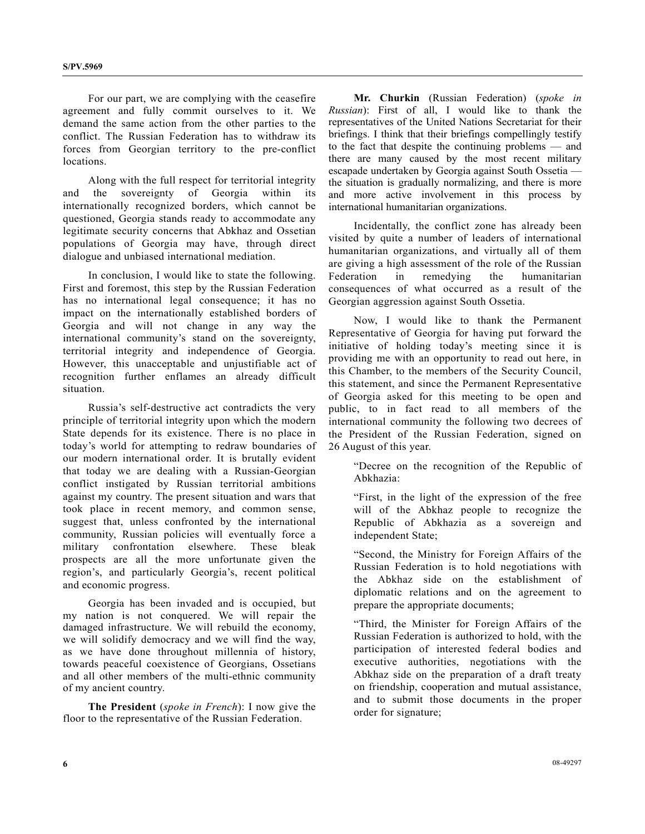For our part, we are complying with the ceasefire agreement and fully commit ourselves to it. We demand the same action from the other parties to the conflict. The Russian Federation has to withdraw its forces from Georgian territory to the pre-conflict locations.

 Along with the full respect for territorial integrity and the sovereignty of Georgia within its internationally recognized borders, which cannot be questioned, Georgia stands ready to accommodate any legitimate security concerns that Abkhaz and Ossetian populations of Georgia may have, through direct dialogue and unbiased international mediation.

 In conclusion, I would like to state the following. First and foremost, this step by the Russian Federation has no international legal consequence; it has no impact on the internationally established borders of Georgia and will not change in any way the international community's stand on the sovereignty, territorial integrity and independence of Georgia. However, this unacceptable and unjustifiable act of recognition further enflames an already difficult situation.

 Russia's self-destructive act contradicts the very principle of territorial integrity upon which the modern State depends for its existence. There is no place in today's world for attempting to redraw boundaries of our modern international order. It is brutally evident that today we are dealing with a Russian-Georgian conflict instigated by Russian territorial ambitions against my country. The present situation and wars that took place in recent memory, and common sense, suggest that, unless confronted by the international community, Russian policies will eventually force a military confrontation elsewhere. These bleak prospects are all the more unfortunate given the region's, and particularly Georgia's, recent political and economic progress.

 Georgia has been invaded and is occupied, but my nation is not conquered. We will repair the damaged infrastructure. We will rebuild the economy, we will solidify democracy and we will find the way, as we have done throughout millennia of history, towards peaceful coexistence of Georgians, Ossetians and all other members of the multi-ethnic community of my ancient country.

**The President** (*spoke in French*): I now give the floor to the representative of the Russian Federation.

**Mr. Churkin** (Russian Federation) (*spoke in Russian*): First of all, I would like to thank the representatives of the United Nations Secretariat for their briefings. I think that their briefings compellingly testify to the fact that despite the continuing problems — and there are many caused by the most recent military escapade undertaken by Georgia against South Ossetia the situation is gradually normalizing, and there is more and more active involvement in this process by international humanitarian organizations.

 Incidentally, the conflict zone has already been visited by quite a number of leaders of international humanitarian organizations, and virtually all of them are giving a high assessment of the role of the Russian Federation in remedying the humanitarian consequences of what occurred as a result of the Georgian aggression against South Ossetia.

 Now, I would like to thank the Permanent Representative of Georgia for having put forward the initiative of holding today's meeting since it is providing me with an opportunity to read out here, in this Chamber, to the members of the Security Council, this statement, and since the Permanent Representative of Georgia asked for this meeting to be open and public, to in fact read to all members of the international community the following two decrees of the President of the Russian Federation, signed on 26 August of this year.

"Decree on the recognition of the Republic of Abkhazia:

"First, in the light of the expression of the free will of the Abkhaz people to recognize the Republic of Abkhazia as a sovereign and independent State;

"Second, the Ministry for Foreign Affairs of the Russian Federation is to hold negotiations with the Abkhaz side on the establishment of diplomatic relations and on the agreement to prepare the appropriate documents;

"Third, the Minister for Foreign Affairs of the Russian Federation is authorized to hold, with the participation of interested federal bodies and executive authorities, negotiations with the Abkhaz side on the preparation of a draft treaty on friendship, cooperation and mutual assistance, and to submit those documents in the proper order for signature;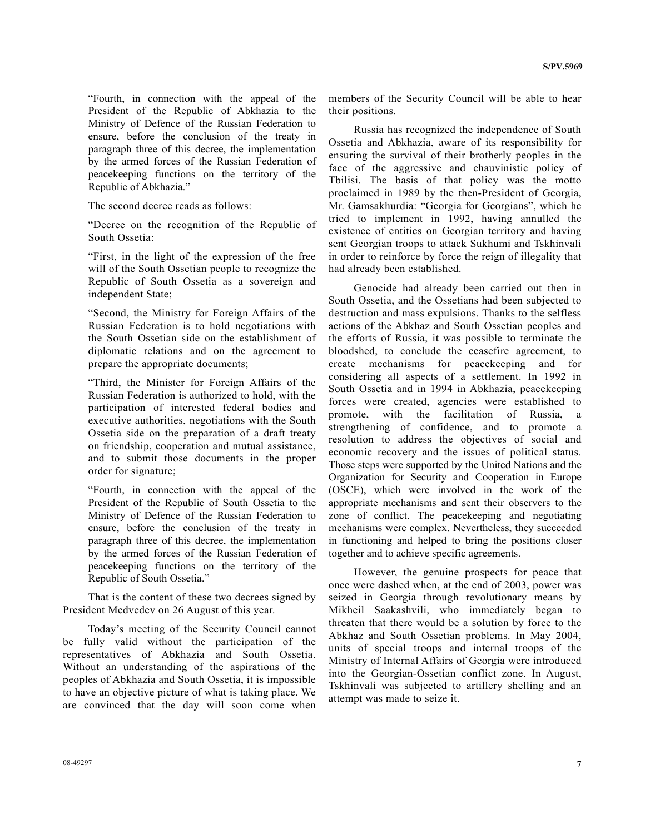"Fourth, in connection with the appeal of the President of the Republic of Abkhazia to the Ministry of Defence of the Russian Federation to ensure, before the conclusion of the treaty in paragraph three of this decree, the implementation by the armed forces of the Russian Federation of peacekeeping functions on the territory of the Republic of Abkhazia."

The second decree reads as follows:

"Decree on the recognition of the Republic of South Ossetia:

"First, in the light of the expression of the free will of the South Ossetian people to recognize the Republic of South Ossetia as a sovereign and independent State;

"Second, the Ministry for Foreign Affairs of the Russian Federation is to hold negotiations with the South Ossetian side on the establishment of diplomatic relations and on the agreement to prepare the appropriate documents;

"Third, the Minister for Foreign Affairs of the Russian Federation is authorized to hold, with the participation of interested federal bodies and executive authorities, negotiations with the South Ossetia side on the preparation of a draft treaty on friendship, cooperation and mutual assistance, and to submit those documents in the proper order for signature;

"Fourth, in connection with the appeal of the President of the Republic of South Ossetia to the Ministry of Defence of the Russian Federation to ensure, before the conclusion of the treaty in paragraph three of this decree, the implementation by the armed forces of the Russian Federation of peacekeeping functions on the territory of the Republic of South Ossetia."

 That is the content of these two decrees signed by President Medvedev on 26 August of this year.

 Today's meeting of the Security Council cannot be fully valid without the participation of the representatives of Abkhazia and South Ossetia. Without an understanding of the aspirations of the peoples of Abkhazia and South Ossetia, it is impossible to have an objective picture of what is taking place. We are convinced that the day will soon come when

members of the Security Council will be able to hear their positions.

 Russia has recognized the independence of South Ossetia and Abkhazia, aware of its responsibility for ensuring the survival of their brotherly peoples in the face of the aggressive and chauvinistic policy of Tbilisi. The basis of that policy was the motto proclaimed in 1989 by the then-President of Georgia, Mr. Gamsakhurdia: "Georgia for Georgians", which he tried to implement in 1992, having annulled the existence of entities on Georgian territory and having sent Georgian troops to attack Sukhumi and Tskhinvali in order to reinforce by force the reign of illegality that had already been established.

 Genocide had already been carried out then in South Ossetia, and the Ossetians had been subjected to destruction and mass expulsions. Thanks to the selfless actions of the Abkhaz and South Ossetian peoples and the efforts of Russia, it was possible to terminate the bloodshed, to conclude the ceasefire agreement, to create mechanisms for peacekeeping and for considering all aspects of a settlement. In 1992 in South Ossetia and in 1994 in Abkhazia, peacekeeping forces were created, agencies were established to promote, with the facilitation of Russia, a strengthening of confidence, and to promote a resolution to address the objectives of social and economic recovery and the issues of political status. Those steps were supported by the United Nations and the Organization for Security and Cooperation in Europe (OSCE), which were involved in the work of the appropriate mechanisms and sent their observers to the zone of conflict. The peacekeeping and negotiating mechanisms were complex. Nevertheless, they succeeded in functioning and helped to bring the positions closer together and to achieve specific agreements.

 However, the genuine prospects for peace that once were dashed when, at the end of 2003, power was seized in Georgia through revolutionary means by Mikheil Saakashvili, who immediately began to threaten that there would be a solution by force to the Abkhaz and South Ossetian problems. In May 2004, units of special troops and internal troops of the Ministry of Internal Affairs of Georgia were introduced into the Georgian-Ossetian conflict zone. In August, Tskhinvali was subjected to artillery shelling and an attempt was made to seize it.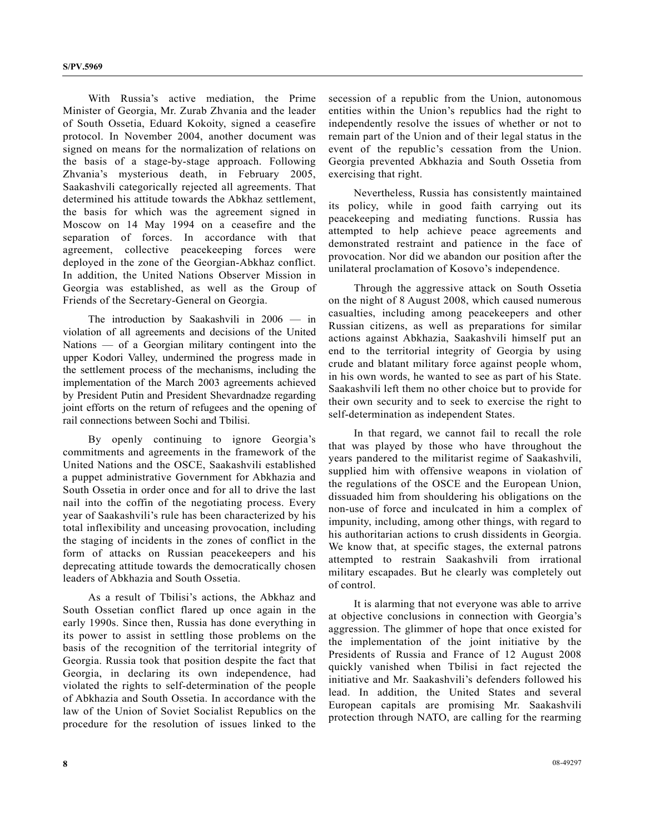With Russia's active mediation, the Prime Minister of Georgia, Mr. Zurab Zhvania and the leader of South Ossetia, Eduard Kokoity, signed a ceasefire protocol. In November 2004, another document was signed on means for the normalization of relations on the basis of a stage-by-stage approach. Following Zhvania's mysterious death, in February 2005, Saakashvili categorically rejected all agreements. That determined his attitude towards the Abkhaz settlement, the basis for which was the agreement signed in Moscow on 14 May 1994 on a ceasefire and the separation of forces. In accordance with that agreement, collective peacekeeping forces were deployed in the zone of the Georgian-Abkhaz conflict. In addition, the United Nations Observer Mission in Georgia was established, as well as the Group of Friends of the Secretary-General on Georgia.

 The introduction by Saakashvili in 2006 — in violation of all agreements and decisions of the United Nations — of a Georgian military contingent into the upper Kodori Valley, undermined the progress made in the settlement process of the mechanisms, including the implementation of the March 2003 agreements achieved by President Putin and President Shevardnadze regarding joint efforts on the return of refugees and the opening of rail connections between Sochi and Tbilisi.

 By openly continuing to ignore Georgia's commitments and agreements in the framework of the United Nations and the OSCE, Saakashvili established a puppet administrative Government for Abkhazia and South Ossetia in order once and for all to drive the last nail into the coffin of the negotiating process. Every year of Saakashvili's rule has been characterized by his total inflexibility and unceasing provocation, including the staging of incidents in the zones of conflict in the form of attacks on Russian peacekeepers and his deprecating attitude towards the democratically chosen leaders of Abkhazia and South Ossetia.

 As a result of Tbilisi's actions, the Abkhaz and South Ossetian conflict flared up once again in the early 1990s. Since then, Russia has done everything in its power to assist in settling those problems on the basis of the recognition of the territorial integrity of Georgia. Russia took that position despite the fact that Georgia, in declaring its own independence, had violated the rights to self-determination of the people of Abkhazia and South Ossetia. In accordance with the law of the Union of Soviet Socialist Republics on the procedure for the resolution of issues linked to the

secession of a republic from the Union, autonomous entities within the Union's republics had the right to independently resolve the issues of whether or not to remain part of the Union and of their legal status in the event of the republic's cessation from the Union. Georgia prevented Abkhazia and South Ossetia from exercising that right.

 Nevertheless, Russia has consistently maintained its policy, while in good faith carrying out its peacekeeping and mediating functions. Russia has attempted to help achieve peace agreements and demonstrated restraint and patience in the face of provocation. Nor did we abandon our position after the unilateral proclamation of Kosovo's independence.

 Through the aggressive attack on South Ossetia on the night of 8 August 2008, which caused numerous casualties, including among peacekeepers and other Russian citizens, as well as preparations for similar actions against Abkhazia, Saakashvili himself put an end to the territorial integrity of Georgia by using crude and blatant military force against people whom, in his own words, he wanted to see as part of his State. Saakashvili left them no other choice but to provide for their own security and to seek to exercise the right to self-determination as independent States.

 In that regard, we cannot fail to recall the role that was played by those who have throughout the years pandered to the militarist regime of Saakashvili, supplied him with offensive weapons in violation of the regulations of the OSCE and the European Union, dissuaded him from shouldering his obligations on the non-use of force and inculcated in him a complex of impunity, including, among other things, with regard to his authoritarian actions to crush dissidents in Georgia. We know that, at specific stages, the external patrons attempted to restrain Saakashvili from irrational military escapades. But he clearly was completely out of control.

 It is alarming that not everyone was able to arrive at objective conclusions in connection with Georgia's aggression. The glimmer of hope that once existed for the implementation of the joint initiative by the Presidents of Russia and France of 12 August 2008 quickly vanished when Tbilisi in fact rejected the initiative and Mr. Saakashvili's defenders followed his lead. In addition, the United States and several European capitals are promising Mr. Saakashvili protection through NATO, are calling for the rearming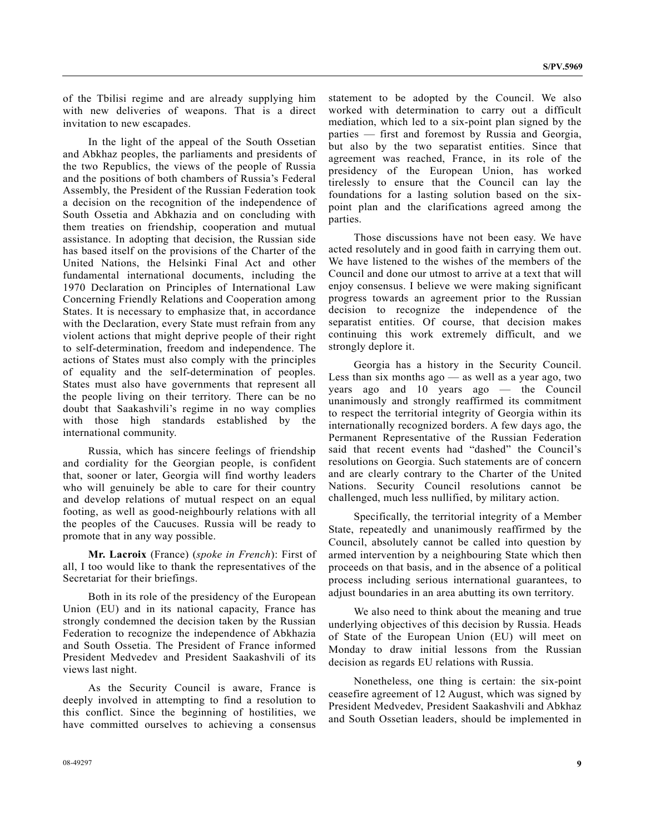of the Tbilisi regime and are already supplying him with new deliveries of weapons. That is a direct invitation to new escapades.

 In the light of the appeal of the South Ossetian and Abkhaz peoples, the parliaments and presidents of the two Republics, the views of the people of Russia and the positions of both chambers of Russia's Federal Assembly, the President of the Russian Federation took a decision on the recognition of the independence of South Ossetia and Abkhazia and on concluding with them treaties on friendship, cooperation and mutual assistance. In adopting that decision, the Russian side has based itself on the provisions of the Charter of the United Nations, the Helsinki Final Act and other fundamental international documents, including the 1970 Declaration on Principles of International Law Concerning Friendly Relations and Cooperation among States. It is necessary to emphasize that, in accordance with the Declaration, every State must refrain from any violent actions that might deprive people of their right to self-determination, freedom and independence. The actions of States must also comply with the principles of equality and the self-determination of peoples. States must also have governments that represent all the people living on their territory. There can be no doubt that Saakashvili's regime in no way complies with those high standards established by the international community.

 Russia, which has sincere feelings of friendship and cordiality for the Georgian people, is confident that, sooner or later, Georgia will find worthy leaders who will genuinely be able to care for their country and develop relations of mutual respect on an equal footing, as well as good-neighbourly relations with all the peoples of the Caucuses. Russia will be ready to promote that in any way possible.

 **Mr. Lacroix** (France) (*spoke in French*): First of all, I too would like to thank the representatives of the Secretariat for their briefings.

 Both in its role of the presidency of the European Union (EU) and in its national capacity, France has strongly condemned the decision taken by the Russian Federation to recognize the independence of Abkhazia and South Ossetia. The President of France informed President Medvedev and President Saakashvili of its views last night.

 As the Security Council is aware, France is deeply involved in attempting to find a resolution to this conflict. Since the beginning of hostilities, we have committed ourselves to achieving a consensus statement to be adopted by the Council. We also worked with determination to carry out a difficult mediation, which led to a six-point plan signed by the parties — first and foremost by Russia and Georgia, but also by the two separatist entities. Since that agreement was reached, France, in its role of the presidency of the European Union, has worked tirelessly to ensure that the Council can lay the foundations for a lasting solution based on the sixpoint plan and the clarifications agreed among the parties.

 Those discussions have not been easy. We have acted resolutely and in good faith in carrying them out. We have listened to the wishes of the members of the Council and done our utmost to arrive at a text that will enjoy consensus. I believe we were making significant progress towards an agreement prior to the Russian decision to recognize the independence of the separatist entities. Of course, that decision makes continuing this work extremely difficult, and we strongly deplore it.

 Georgia has a history in the Security Council. Less than six months ago — as well as a year ago, two years ago and 10 years ago — the Council unanimously and strongly reaffirmed its commitment to respect the territorial integrity of Georgia within its internationally recognized borders. A few days ago, the Permanent Representative of the Russian Federation said that recent events had "dashed" the Council's resolutions on Georgia. Such statements are of concern and are clearly contrary to the Charter of the United Nations. Security Council resolutions cannot be challenged, much less nullified, by military action.

 Specifically, the territorial integrity of a Member State, repeatedly and unanimously reaffirmed by the Council, absolutely cannot be called into question by armed intervention by a neighbouring State which then proceeds on that basis, and in the absence of a political process including serious international guarantees, to adjust boundaries in an area abutting its own territory.

 We also need to think about the meaning and true underlying objectives of this decision by Russia. Heads of State of the European Union (EU) will meet on Monday to draw initial lessons from the Russian decision as regards EU relations with Russia.

 Nonetheless, one thing is certain: the six-point ceasefire agreement of 12 August, which was signed by President Medvedev, President Saakashvili and Abkhaz and South Ossetian leaders, should be implemented in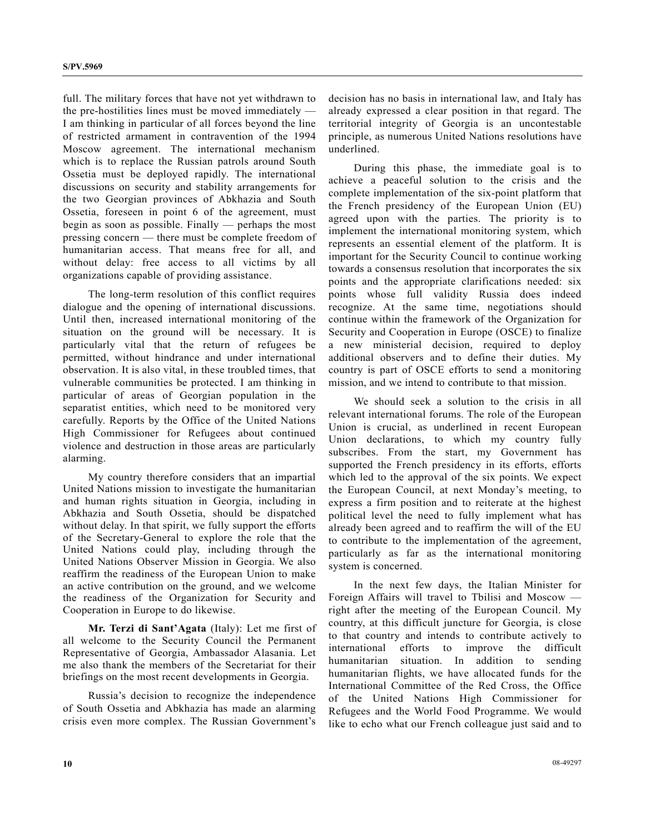full. The military forces that have not yet withdrawn to the pre-hostilities lines must be moved immediately — I am thinking in particular of all forces beyond the line of restricted armament in contravention of the 1994 Moscow agreement. The international mechanism which is to replace the Russian patrols around South Ossetia must be deployed rapidly. The international discussions on security and stability arrangements for the two Georgian provinces of Abkhazia and South Ossetia, foreseen in point 6 of the agreement, must begin as soon as possible. Finally — perhaps the most pressing concern — there must be complete freedom of humanitarian access. That means free for all, and without delay: free access to all victims by all organizations capable of providing assistance.

 The long-term resolution of this conflict requires dialogue and the opening of international discussions. Until then, increased international monitoring of the situation on the ground will be necessary. It is particularly vital that the return of refugees be permitted, without hindrance and under international observation. It is also vital, in these troubled times, that vulnerable communities be protected. I am thinking in particular of areas of Georgian population in the separatist entities, which need to be monitored very carefully. Reports by the Office of the United Nations High Commissioner for Refugees about continued violence and destruction in those areas are particularly alarming.

 My country therefore considers that an impartial United Nations mission to investigate the humanitarian and human rights situation in Georgia, including in Abkhazia and South Ossetia, should be dispatched without delay. In that spirit, we fully support the efforts of the Secretary-General to explore the role that the United Nations could play, including through the United Nations Observer Mission in Georgia. We also reaffirm the readiness of the European Union to make an active contribution on the ground, and we welcome the readiness of the Organization for Security and Cooperation in Europe to do likewise.

 **Mr. Terzi di Sant'Agata** (Italy): Let me first of all welcome to the Security Council the Permanent Representative of Georgia, Ambassador Alasania. Let me also thank the members of the Secretariat for their briefings on the most recent developments in Georgia.

 Russia's decision to recognize the independence of South Ossetia and Abkhazia has made an alarming crisis even more complex. The Russian Government's decision has no basis in international law, and Italy has already expressed a clear position in that regard. The territorial integrity of Georgia is an uncontestable principle, as numerous United Nations resolutions have underlined.

 During this phase, the immediate goal is to achieve a peaceful solution to the crisis and the complete implementation of the six-point platform that the French presidency of the European Union (EU) agreed upon with the parties. The priority is to implement the international monitoring system, which represents an essential element of the platform. It is important for the Security Council to continue working towards a consensus resolution that incorporates the six points and the appropriate clarifications needed: six points whose full validity Russia does indeed recognize. At the same time, negotiations should continue within the framework of the Organization for Security and Cooperation in Europe (OSCE) to finalize a new ministerial decision, required to deploy additional observers and to define their duties. My country is part of OSCE efforts to send a monitoring mission, and we intend to contribute to that mission.

 We should seek a solution to the crisis in all relevant international forums. The role of the European Union is crucial, as underlined in recent European Union declarations, to which my country fully subscribes. From the start, my Government has supported the French presidency in its efforts, efforts which led to the approval of the six points. We expect the European Council, at next Monday's meeting, to express a firm position and to reiterate at the highest political level the need to fully implement what has already been agreed and to reaffirm the will of the EU to contribute to the implementation of the agreement, particularly as far as the international monitoring system is concerned.

 In the next few days, the Italian Minister for Foreign Affairs will travel to Tbilisi and Moscow right after the meeting of the European Council. My country, at this difficult juncture for Georgia, is close to that country and intends to contribute actively to international efforts to improve the difficult humanitarian situation. In addition to sending humanitarian flights, we have allocated funds for the International Committee of the Red Cross, the Office of the United Nations High Commissioner for Refugees and the World Food Programme. We would like to echo what our French colleague just said and to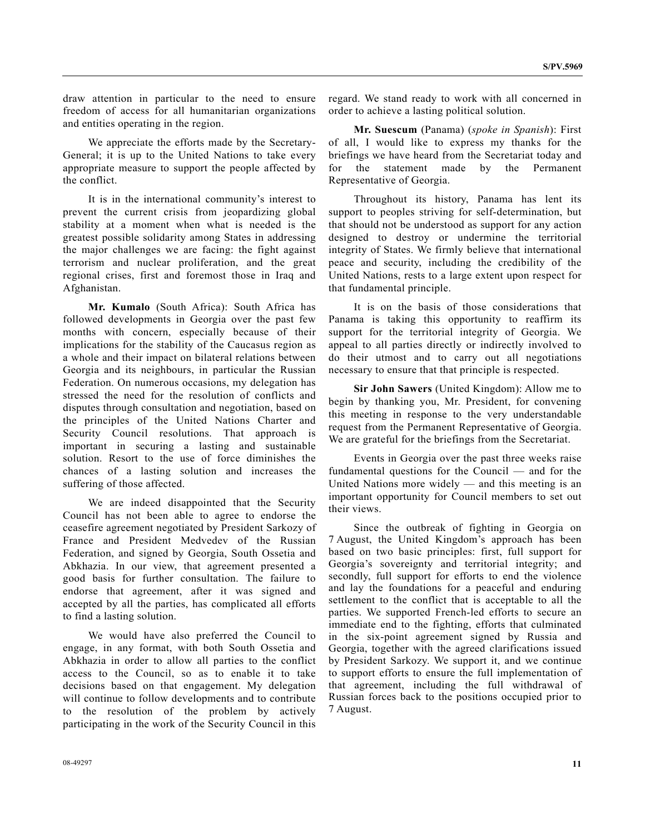draw attention in particular to the need to ensure freedom of access for all humanitarian organizations and entities operating in the region.

 We appreciate the efforts made by the Secretary-General; it is up to the United Nations to take every appropriate measure to support the people affected by the conflict.

 It is in the international community's interest to prevent the current crisis from jeopardizing global stability at a moment when what is needed is the greatest possible solidarity among States in addressing the major challenges we are facing: the fight against terrorism and nuclear proliferation, and the great regional crises, first and foremost those in Iraq and Afghanistan.

 **Mr. Kumalo** (South Africa): South Africa has followed developments in Georgia over the past few months with concern, especially because of their implications for the stability of the Caucasus region as a whole and their impact on bilateral relations between Georgia and its neighbours, in particular the Russian Federation. On numerous occasions, my delegation has stressed the need for the resolution of conflicts and disputes through consultation and negotiation, based on the principles of the United Nations Charter and Security Council resolutions. That approach is important in securing a lasting and sustainable solution. Resort to the use of force diminishes the chances of a lasting solution and increases the suffering of those affected.

 We are indeed disappointed that the Security Council has not been able to agree to endorse the ceasefire agreement negotiated by President Sarkozy of France and President Medvedev of the Russian Federation, and signed by Georgia, South Ossetia and Abkhazia. In our view, that agreement presented a good basis for further consultation. The failure to endorse that agreement, after it was signed and accepted by all the parties, has complicated all efforts to find a lasting solution.

 We would have also preferred the Council to engage, in any format, with both South Ossetia and Abkhazia in order to allow all parties to the conflict access to the Council, so as to enable it to take decisions based on that engagement. My delegation will continue to follow developments and to contribute to the resolution of the problem by actively participating in the work of the Security Council in this

**Mr. Suescum** (Panama) (*spoke in Spanish*): First of all, I would like to express my thanks for the briefings we have heard from the Secretariat today and for the statement made by the Permanent Representative of Georgia.

 Throughout its history, Panama has lent its support to peoples striving for self-determination, but that should not be understood as support for any action designed to destroy or undermine the territorial integrity of States. We firmly believe that international peace and security, including the credibility of the United Nations, rests to a large extent upon respect for that fundamental principle.

 It is on the basis of those considerations that Panama is taking this opportunity to reaffirm its support for the territorial integrity of Georgia. We appeal to all parties directly or indirectly involved to do their utmost and to carry out all negotiations necessary to ensure that that principle is respected.

**Sir John Sawers** (United Kingdom): Allow me to begin by thanking you, Mr. President, for convening this meeting in response to the very understandable request from the Permanent Representative of Georgia. We are grateful for the briefings from the Secretariat.

 Events in Georgia over the past three weeks raise fundamental questions for the Council — and for the United Nations more widely — and this meeting is an important opportunity for Council members to set out their views.

 Since the outbreak of fighting in Georgia on 7 August, the United Kingdom's approach has been based on two basic principles: first, full support for Georgia's sovereignty and territorial integrity; and secondly, full support for efforts to end the violence and lay the foundations for a peaceful and enduring settlement to the conflict that is acceptable to all the parties. We supported French-led efforts to secure an immediate end to the fighting, efforts that culminated in the six-point agreement signed by Russia and Georgia, together with the agreed clarifications issued by President Sarkozy. We support it, and we continue to support efforts to ensure the full implementation of that agreement, including the full withdrawal of Russian forces back to the positions occupied prior to 7 August.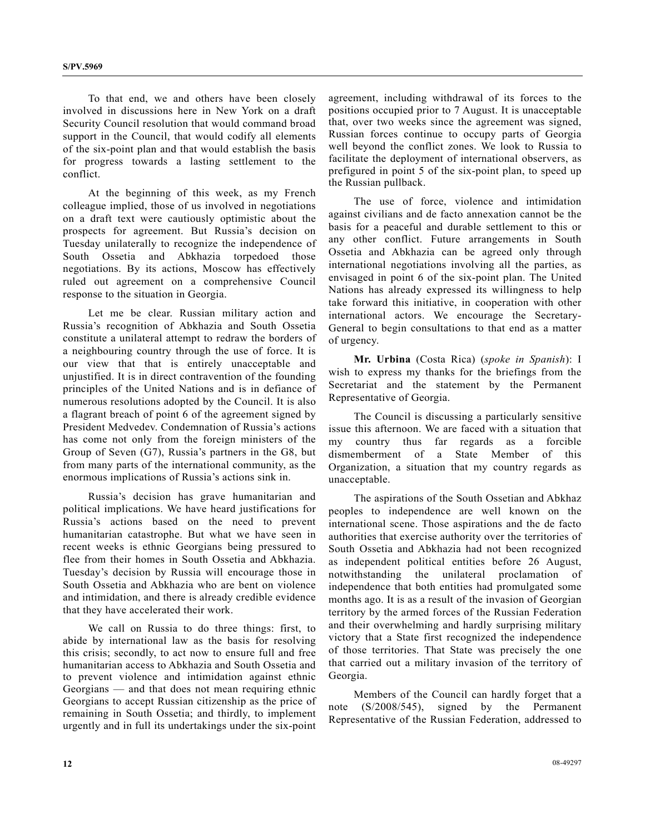To that end, we and others have been closely involved in discussions here in New York on a draft Security Council resolution that would command broad support in the Council, that would codify all elements of the six-point plan and that would establish the basis for progress towards a lasting settlement to the conflict.

 At the beginning of this week, as my French colleague implied, those of us involved in negotiations on a draft text were cautiously optimistic about the prospects for agreement. But Russia's decision on Tuesday unilaterally to recognize the independence of South Ossetia and Abkhazia torpedoed those negotiations. By its actions, Moscow has effectively ruled out agreement on a comprehensive Council response to the situation in Georgia.

 Let me be clear. Russian military action and Russia's recognition of Abkhazia and South Ossetia constitute a unilateral attempt to redraw the borders of a neighbouring country through the use of force. It is our view that that is entirely unacceptable and unjustified. It is in direct contravention of the founding principles of the United Nations and is in defiance of numerous resolutions adopted by the Council. It is also a flagrant breach of point 6 of the agreement signed by President Medvedev. Condemnation of Russia's actions has come not only from the foreign ministers of the Group of Seven (G7), Russia's partners in the G8, but from many parts of the international community, as the enormous implications of Russia's actions sink in.

 Russia's decision has grave humanitarian and political implications. We have heard justifications for Russia's actions based on the need to prevent humanitarian catastrophe. But what we have seen in recent weeks is ethnic Georgians being pressured to flee from their homes in South Ossetia and Abkhazia. Tuesday's decision by Russia will encourage those in South Ossetia and Abkhazia who are bent on violence and intimidation, and there is already credible evidence that they have accelerated their work.

 We call on Russia to do three things: first, to abide by international law as the basis for resolving this crisis; secondly, to act now to ensure full and free humanitarian access to Abkhazia and South Ossetia and to prevent violence and intimidation against ethnic Georgians — and that does not mean requiring ethnic Georgians to accept Russian citizenship as the price of remaining in South Ossetia; and thirdly, to implement urgently and in full its undertakings under the six-point

agreement, including withdrawal of its forces to the positions occupied prior to 7 August. It is unacceptable that, over two weeks since the agreement was signed, Russian forces continue to occupy parts of Georgia well beyond the conflict zones. We look to Russia to facilitate the deployment of international observers, as prefigured in point 5 of the six-point plan, to speed up the Russian pullback.

 The use of force, violence and intimidation against civilians and de facto annexation cannot be the basis for a peaceful and durable settlement to this or any other conflict. Future arrangements in South Ossetia and Abkhazia can be agreed only through international negotiations involving all the parties, as envisaged in point 6 of the six-point plan. The United Nations has already expressed its willingness to help take forward this initiative, in cooperation with other international actors. We encourage the Secretary-General to begin consultations to that end as a matter of urgency.

 **Mr. Urbina** (Costa Rica) (*spoke in Spanish*): I wish to express my thanks for the briefings from the Secretariat and the statement by the Permanent Representative of Georgia.

 The Council is discussing a particularly sensitive issue this afternoon. We are faced with a situation that my country thus far regards as a forcible dismemberment of a State Member of this Organization, a situation that my country regards as unacceptable.

 The aspirations of the South Ossetian and Abkhaz peoples to independence are well known on the international scene. Those aspirations and the de facto authorities that exercise authority over the territories of South Ossetia and Abkhazia had not been recognized as independent political entities before 26 August, notwithstanding the unilateral proclamation of independence that both entities had promulgated some months ago. It is as a result of the invasion of Georgian territory by the armed forces of the Russian Federation and their overwhelming and hardly surprising military victory that a State first recognized the independence of those territories. That State was precisely the one that carried out a military invasion of the territory of Georgia.

 Members of the Council can hardly forget that a note (S/2008/545), signed by the Permanent Representative of the Russian Federation, addressed to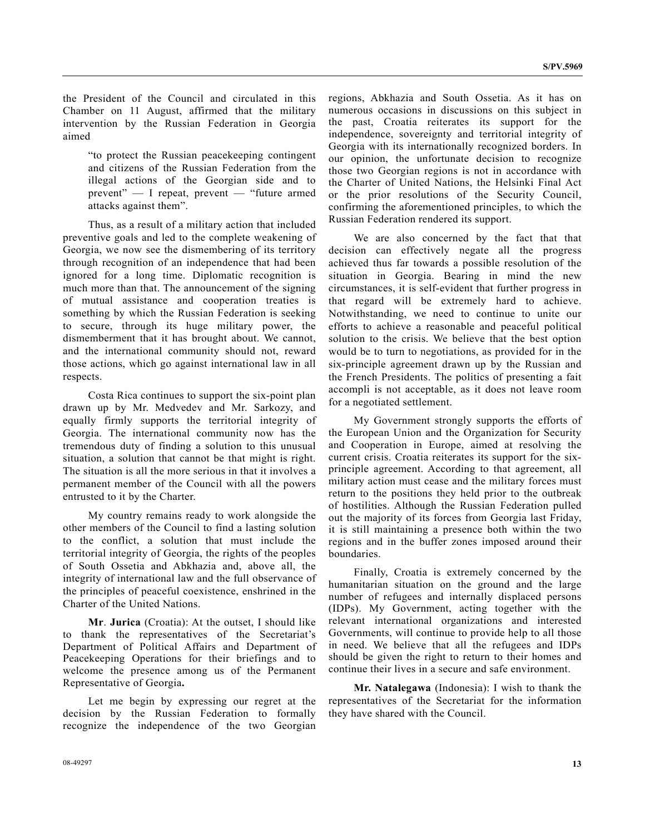the President of the Council and circulated in this Chamber on 11 August, affirmed that the military intervention by the Russian Federation in Georgia aimed

"to protect the Russian peacekeeping contingent and citizens of the Russian Federation from the illegal actions of the Georgian side and to prevent" — I repeat, prevent — "future armed attacks against them".

 Thus, as a result of a military action that included preventive goals and led to the complete weakening of Georgia, we now see the dismembering of its territory through recognition of an independence that had been ignored for a long time. Diplomatic recognition is much more than that. The announcement of the signing of mutual assistance and cooperation treaties is something by which the Russian Federation is seeking to secure, through its huge military power, the dismemberment that it has brought about. We cannot, and the international community should not, reward those actions, which go against international law in all respects.

 Costa Rica continues to support the six-point plan drawn up by Mr. Medvedev and Mr. Sarkozy, and equally firmly supports the territorial integrity of Georgia. The international community now has the tremendous duty of finding a solution to this unusual situation, a solution that cannot be that might is right. The situation is all the more serious in that it involves a permanent member of the Council with all the powers entrusted to it by the Charter.

 My country remains ready to work alongside the other members of the Council to find a lasting solution to the conflict, a solution that must include the territorial integrity of Georgia, the rights of the peoples of South Ossetia and Abkhazia and, above all, the integrity of international law and the full observance of the principles of peaceful coexistence, enshrined in the Charter of the United Nations.

**Mr**. **Jurica** (Croatia): At the outset, I should like to thank the representatives of the Secretariat's Department of Political Affairs and Department of Peacekeeping Operations for their briefings and to welcome the presence among us of the Permanent Representative of Georgia**.** 

 Let me begin by expressing our regret at the decision by the Russian Federation to formally recognize the independence of the two Georgian regions, Abkhazia and South Ossetia. As it has on numerous occasions in discussions on this subject in the past, Croatia reiterates its support for the independence, sovereignty and territorial integrity of Georgia with its internationally recognized borders. In our opinion, the unfortunate decision to recognize those two Georgian regions is not in accordance with the Charter of United Nations, the Helsinki Final Act or the prior resolutions of the Security Council, confirming the aforementioned principles, to which the Russian Federation rendered its support.

 We are also concerned by the fact that that decision can effectively negate all the progress achieved thus far towards a possible resolution of the situation in Georgia. Bearing in mind the new circumstances, it is self-evident that further progress in that regard will be extremely hard to achieve. Notwithstanding, we need to continue to unite our efforts to achieve a reasonable and peaceful political solution to the crisis. We believe that the best option would be to turn to negotiations, as provided for in the six-principle agreement drawn up by the Russian and the French Presidents. The politics of presenting a fait accompli is not acceptable, as it does not leave room for a negotiated settlement.

 My Government strongly supports the efforts of the European Union and the Organization for Security and Cooperation in Europe, aimed at resolving the current crisis. Croatia reiterates its support for the sixprinciple agreement. According to that agreement, all military action must cease and the military forces must return to the positions they held prior to the outbreak of hostilities. Although the Russian Federation pulled out the majority of its forces from Georgia last Friday, it is still maintaining a presence both within the two regions and in the buffer zones imposed around their boundaries.

 Finally, Croatia is extremely concerned by the humanitarian situation on the ground and the large number of refugees and internally displaced persons (IDPs). My Government, acting together with the relevant international organizations and interested Governments, will continue to provide help to all those in need. We believe that all the refugees and IDPs should be given the right to return to their homes and continue their lives in a secure and safe environment.

**Mr. Natalegawa** (Indonesia): I wish to thank the representatives of the Secretariat for the information they have shared with the Council.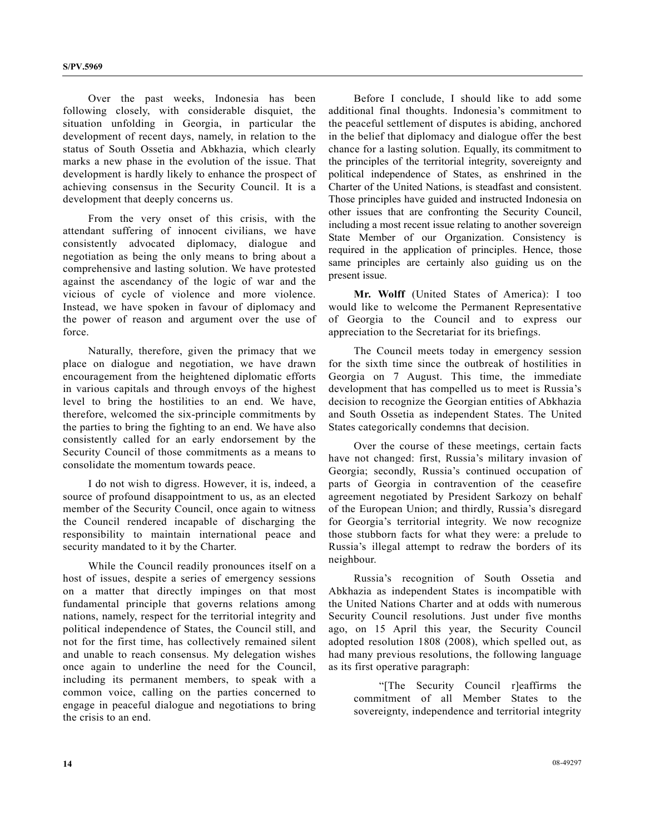Over the past weeks, Indonesia has been following closely, with considerable disquiet, the situation unfolding in Georgia, in particular the development of recent days, namely, in relation to the status of South Ossetia and Abkhazia, which clearly marks a new phase in the evolution of the issue. That development is hardly likely to enhance the prospect of achieving consensus in the Security Council. It is a development that deeply concerns us.

 From the very onset of this crisis, with the attendant suffering of innocent civilians, we have consistently advocated diplomacy, dialogue and negotiation as being the only means to bring about a comprehensive and lasting solution. We have protested against the ascendancy of the logic of war and the vicious of cycle of violence and more violence. Instead, we have spoken in favour of diplomacy and the power of reason and argument over the use of force.

 Naturally, therefore, given the primacy that we place on dialogue and negotiation, we have drawn encouragement from the heightened diplomatic efforts in various capitals and through envoys of the highest level to bring the hostilities to an end. We have, therefore, welcomed the six-principle commitments by the parties to bring the fighting to an end. We have also consistently called for an early endorsement by the Security Council of those commitments as a means to consolidate the momentum towards peace.

 I do not wish to digress. However, it is, indeed, a source of profound disappointment to us, as an elected member of the Security Council, once again to witness the Council rendered incapable of discharging the responsibility to maintain international peace and security mandated to it by the Charter.

 While the Council readily pronounces itself on a host of issues, despite a series of emergency sessions on a matter that directly impinges on that most fundamental principle that governs relations among nations, namely, respect for the territorial integrity and political independence of States, the Council still, and not for the first time, has collectively remained silent and unable to reach consensus. My delegation wishes once again to underline the need for the Council, including its permanent members, to speak with a common voice, calling on the parties concerned to engage in peaceful dialogue and negotiations to bring the crisis to an end.

 Before I conclude, I should like to add some additional final thoughts. Indonesia's commitment to the peaceful settlement of disputes is abiding, anchored in the belief that diplomacy and dialogue offer the best chance for a lasting solution. Equally, its commitment to the principles of the territorial integrity, sovereignty and political independence of States, as enshrined in the Charter of the United Nations, is steadfast and consistent. Those principles have guided and instructed Indonesia on other issues that are confronting the Security Council, including a most recent issue relating to another sovereign State Member of our Organization. Consistency is required in the application of principles. Hence, those same principles are certainly also guiding us on the present issue.

**Mr. Wolff** (United States of America): I too would like to welcome the Permanent Representative of Georgia to the Council and to express our appreciation to the Secretariat for its briefings.

 The Council meets today in emergency session for the sixth time since the outbreak of hostilities in Georgia on 7 August. This time, the immediate development that has compelled us to meet is Russia's decision to recognize the Georgian entities of Abkhazia and South Ossetia as independent States. The United States categorically condemns that decision.

 Over the course of these meetings, certain facts have not changed: first, Russia's military invasion of Georgia; secondly, Russia's continued occupation of parts of Georgia in contravention of the ceasefire agreement negotiated by President Sarkozy on behalf of the European Union; and thirdly, Russia's disregard for Georgia's territorial integrity. We now recognize those stubborn facts for what they were: a prelude to Russia's illegal attempt to redraw the borders of its neighbour.

 Russia's recognition of South Ossetia and Abkhazia as independent States is incompatible with the United Nations Charter and at odds with numerous Security Council resolutions. Just under five months ago, on 15 April this year, the Security Council adopted resolution 1808 (2008), which spelled out, as had many previous resolutions, the following language as its first operative paragraph:

 "[The Security Council r]eaffirms the commitment of all Member States to the sovereignty, independence and territorial integrity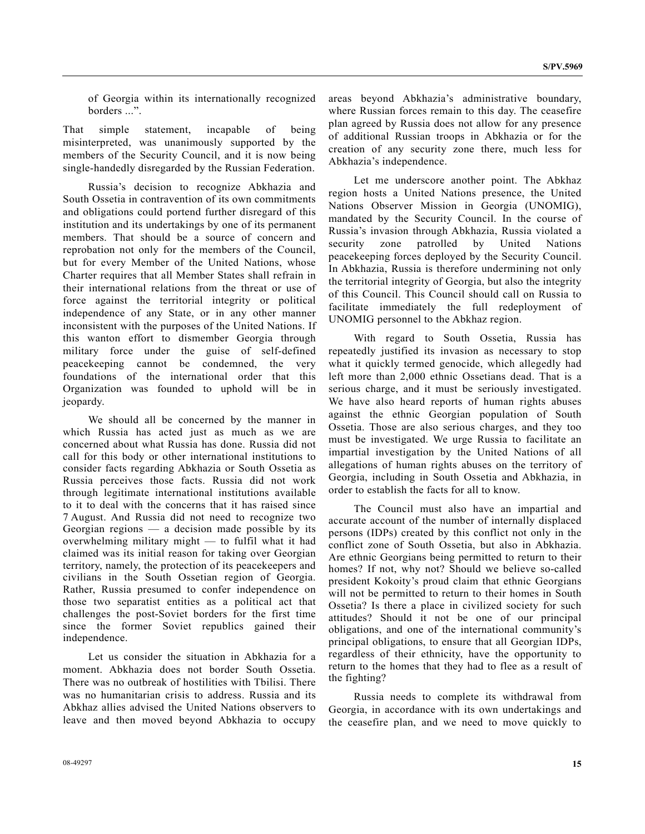of Georgia within its internationally recognized borders ...".

That simple statement, incapable of being misinterpreted, was unanimously supported by the members of the Security Council, and it is now being single-handedly disregarded by the Russian Federation.

 Russia's decision to recognize Abkhazia and South Ossetia in contravention of its own commitments and obligations could portend further disregard of this institution and its undertakings by one of its permanent members. That should be a source of concern and reprobation not only for the members of the Council, but for every Member of the United Nations, whose Charter requires that all Member States shall refrain in their international relations from the threat or use of force against the territorial integrity or political independence of any State, or in any other manner inconsistent with the purposes of the United Nations. If this wanton effort to dismember Georgia through military force under the guise of self-defined peacekeeping cannot be condemned, the very foundations of the international order that this Organization was founded to uphold will be in jeopardy.

 We should all be concerned by the manner in which Russia has acted just as much as we are concerned about what Russia has done. Russia did not call for this body or other international institutions to consider facts regarding Abkhazia or South Ossetia as Russia perceives those facts. Russia did not work through legitimate international institutions available to it to deal with the concerns that it has raised since 7 August. And Russia did not need to recognize two Georgian regions  $\frac{1}{x}$  a decision made possible by its overwhelming military might — to fulfil what it had claimed was its initial reason for taking over Georgian territory, namely, the protection of its peacekeepers and civilians in the South Ossetian region of Georgia. Rather, Russia presumed to confer independence on those two separatist entities as a political act that challenges the post-Soviet borders for the first time since the former Soviet republics gained their independence.

 Let us consider the situation in Abkhazia for a moment. Abkhazia does not border South Ossetia. There was no outbreak of hostilities with Tbilisi. There was no humanitarian crisis to address. Russia and its Abkhaz allies advised the United Nations observers to leave and then moved beyond Abkhazia to occupy areas beyond Abkhazia's administrative boundary, where Russian forces remain to this day. The ceasefire plan agreed by Russia does not allow for any presence of additional Russian troops in Abkhazia or for the creation of any security zone there, much less for Abkhazia's independence.

 Let me underscore another point. The Abkhaz region hosts a United Nations presence, the United Nations Observer Mission in Georgia (UNOMIG), mandated by the Security Council. In the course of Russia's invasion through Abkhazia, Russia violated a security zone patrolled by United Nations peacekeeping forces deployed by the Security Council. In Abkhazia, Russia is therefore undermining not only the territorial integrity of Georgia, but also the integrity of this Council. This Council should call on Russia to facilitate immediately the full redeployment of UNOMIG personnel to the Abkhaz region.

 With regard to South Ossetia, Russia has repeatedly justified its invasion as necessary to stop what it quickly termed genocide, which allegedly had left more than 2,000 ethnic Ossetians dead. That is a serious charge, and it must be seriously investigated. We have also heard reports of human rights abuses against the ethnic Georgian population of South Ossetia. Those are also serious charges, and they too must be investigated. We urge Russia to facilitate an impartial investigation by the United Nations of all allegations of human rights abuses on the territory of Georgia, including in South Ossetia and Abkhazia, in order to establish the facts for all to know.

 The Council must also have an impartial and accurate account of the number of internally displaced persons (IDPs) created by this conflict not only in the conflict zone of South Ossetia, but also in Abkhazia. Are ethnic Georgians being permitted to return to their homes? If not, why not? Should we believe so-called president Kokoity's proud claim that ethnic Georgians will not be permitted to return to their homes in South Ossetia? Is there a place in civilized society for such attitudes? Should it not be one of our principal obligations, and one of the international community's principal obligations, to ensure that all Georgian IDPs, regardless of their ethnicity, have the opportunity to return to the homes that they had to flee as a result of the fighting?

 Russia needs to complete its withdrawal from Georgia, in accordance with its own undertakings and the ceasefire plan, and we need to move quickly to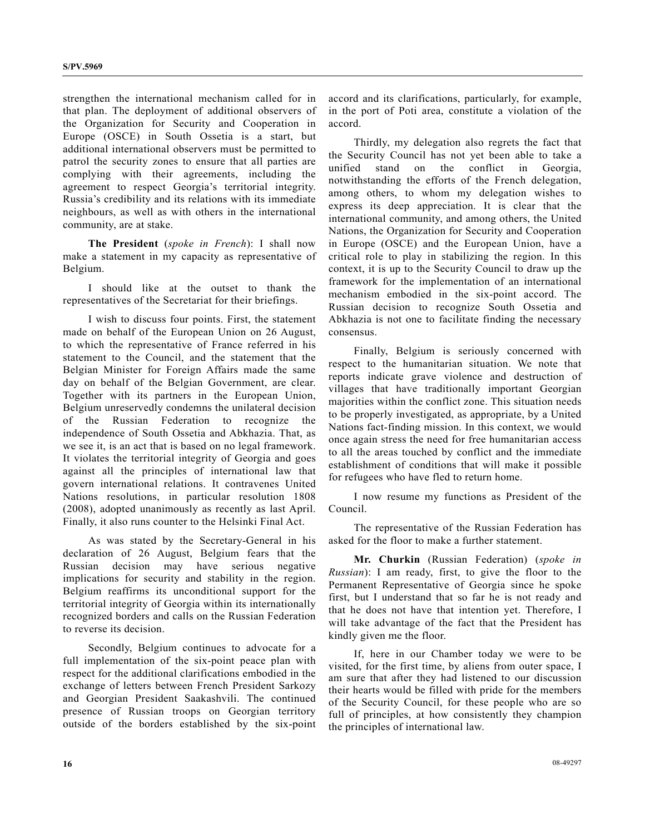strengthen the international mechanism called for in that plan. The deployment of additional observers of the Organization for Security and Cooperation in Europe (OSCE) in South Ossetia is a start, but additional international observers must be permitted to patrol the security zones to ensure that all parties are complying with their agreements, including the agreement to respect Georgia's territorial integrity. Russia's credibility and its relations with its immediate neighbours, as well as with others in the international community, are at stake.

 **The President** (*spoke in French*): I shall now make a statement in my capacity as representative of Belgium.

 I should like at the outset to thank the representatives of the Secretariat for their briefings.

 I wish to discuss four points. First, the statement made on behalf of the European Union on 26 August, to which the representative of France referred in his statement to the Council, and the statement that the Belgian Minister for Foreign Affairs made the same day on behalf of the Belgian Government, are clear. Together with its partners in the European Union, Belgium unreservedly condemns the unilateral decision of the Russian Federation to recognize the independence of South Ossetia and Abkhazia. That, as we see it, is an act that is based on no legal framework. It violates the territorial integrity of Georgia and goes against all the principles of international law that govern international relations. It contravenes United Nations resolutions, in particular resolution 1808 (2008), adopted unanimously as recently as last April. Finally, it also runs counter to the Helsinki Final Act.

 As was stated by the Secretary-General in his declaration of 26 August, Belgium fears that the Russian decision may have serious negative implications for security and stability in the region. Belgium reaffirms its unconditional support for the territorial integrity of Georgia within its internationally recognized borders and calls on the Russian Federation to reverse its decision.

 Secondly, Belgium continues to advocate for a full implementation of the six-point peace plan with respect for the additional clarifications embodied in the exchange of letters between French President Sarkozy and Georgian President Saakashvili. The continued presence of Russian troops on Georgian territory outside of the borders established by the six-point accord and its clarifications, particularly, for example, in the port of Poti area, constitute a violation of the accord.

 Thirdly, my delegation also regrets the fact that the Security Council has not yet been able to take a unified stand on the conflict in Georgia, notwithstanding the efforts of the French delegation, among others, to whom my delegation wishes to express its deep appreciation. It is clear that the international community, and among others, the United Nations, the Organization for Security and Cooperation in Europe (OSCE) and the European Union, have a critical role to play in stabilizing the region. In this context, it is up to the Security Council to draw up the framework for the implementation of an international mechanism embodied in the six-point accord. The Russian decision to recognize South Ossetia and Abkhazia is not one to facilitate finding the necessary consensus.

 Finally, Belgium is seriously concerned with respect to the humanitarian situation. We note that reports indicate grave violence and destruction of villages that have traditionally important Georgian majorities within the conflict zone. This situation needs to be properly investigated, as appropriate, by a United Nations fact-finding mission. In this context, we would once again stress the need for free humanitarian access to all the areas touched by conflict and the immediate establishment of conditions that will make it possible for refugees who have fled to return home.

 I now resume my functions as President of the Council.

 The representative of the Russian Federation has asked for the floor to make a further statement.

**Mr. Churkin** (Russian Federation) (*spoke in Russian*): I am ready, first, to give the floor to the Permanent Representative of Georgia since he spoke first, but I understand that so far he is not ready and that he does not have that intention yet. Therefore, I will take advantage of the fact that the President has kindly given me the floor.

 If, here in our Chamber today we were to be visited, for the first time, by aliens from outer space, I am sure that after they had listened to our discussion their hearts would be filled with pride for the members of the Security Council, for these people who are so full of principles, at how consistently they champion the principles of international law.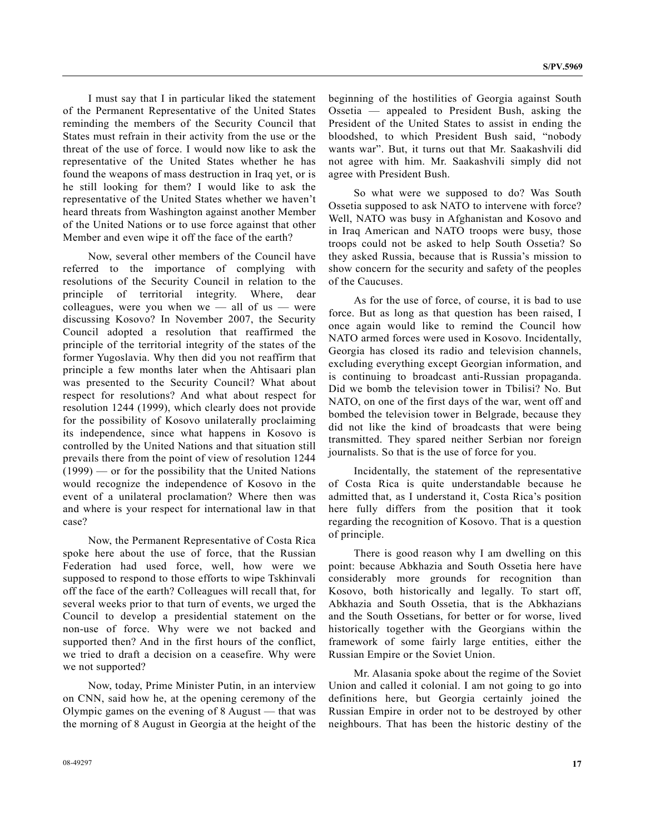I must say that I in particular liked the statement of the Permanent Representative of the United States reminding the members of the Security Council that States must refrain in their activity from the use or the threat of the use of force. I would now like to ask the representative of the United States whether he has found the weapons of mass destruction in Iraq yet, or is he still looking for them? I would like to ask the representative of the United States whether we haven't heard threats from Washington against another Member of the United Nations or to use force against that other Member and even wipe it off the face of the earth?

 Now, several other members of the Council have referred to the importance of complying with resolutions of the Security Council in relation to the principle of territorial integrity. Where, dear colleagues, were you when we  $-$  all of us  $-$  were discussing Kosovo? In November 2007, the Security Council adopted a resolution that reaffirmed the principle of the territorial integrity of the states of the former Yugoslavia. Why then did you not reaffirm that principle a few months later when the Ahtisaari plan was presented to the Security Council? What about respect for resolutions? And what about respect for resolution 1244 (1999), which clearly does not provide for the possibility of Kosovo unilaterally proclaiming its independence, since what happens in Kosovo is controlled by the United Nations and that situation still prevails there from the point of view of resolution 1244 (1999) — or for the possibility that the United Nations would recognize the independence of Kosovo in the event of a unilateral proclamation? Where then was and where is your respect for international law in that case?

 Now, the Permanent Representative of Costa Rica spoke here about the use of force, that the Russian Federation had used force, well, how were we supposed to respond to those efforts to wipe Tskhinvali off the face of the earth? Colleagues will recall that, for several weeks prior to that turn of events, we urged the Council to develop a presidential statement on the non-use of force. Why were we not backed and supported then? And in the first hours of the conflict, we tried to draft a decision on a ceasefire. Why were we not supported?

 Now, today, Prime Minister Putin, in an interview on CNN, said how he, at the opening ceremony of the Olympic games on the evening of 8 August — that was the morning of 8 August in Georgia at the height of the beginning of the hostilities of Georgia against South Ossetia — appealed to President Bush, asking the President of the United States to assist in ending the bloodshed, to which President Bush said, "nobody wants war". But, it turns out that Mr. Saakashvili did not agree with him. Mr. Saakashvili simply did not agree with President Bush.

 So what were we supposed to do? Was South Ossetia supposed to ask NATO to intervene with force? Well, NATO was busy in Afghanistan and Kosovo and in Iraq American and NATO troops were busy, those troops could not be asked to help South Ossetia? So they asked Russia, because that is Russia's mission to show concern for the security and safety of the peoples of the Caucuses.

 As for the use of force, of course, it is bad to use force. But as long as that question has been raised, I once again would like to remind the Council how NATO armed forces were used in Kosovo. Incidentally, Georgia has closed its radio and television channels, excluding everything except Georgian information, and is continuing to broadcast anti-Russian propaganda. Did we bomb the television tower in Tbilisi? No. But NATO, on one of the first days of the war, went off and bombed the television tower in Belgrade, because they did not like the kind of broadcasts that were being transmitted. They spared neither Serbian nor foreign journalists. So that is the use of force for you.

 Incidentally, the statement of the representative of Costa Rica is quite understandable because he admitted that, as I understand it, Costa Rica's position here fully differs from the position that it took regarding the recognition of Kosovo. That is a question of principle.

 There is good reason why I am dwelling on this point: because Abkhazia and South Ossetia here have considerably more grounds for recognition than Kosovo, both historically and legally. To start off, Abkhazia and South Ossetia, that is the Abkhazians and the South Ossetians, for better or for worse, lived historically together with the Georgians within the framework of some fairly large entities, either the Russian Empire or the Soviet Union.

 Mr. Alasania spoke about the regime of the Soviet Union and called it colonial. I am not going to go into definitions here, but Georgia certainly joined the Russian Empire in order not to be destroyed by other neighbours. That has been the historic destiny of the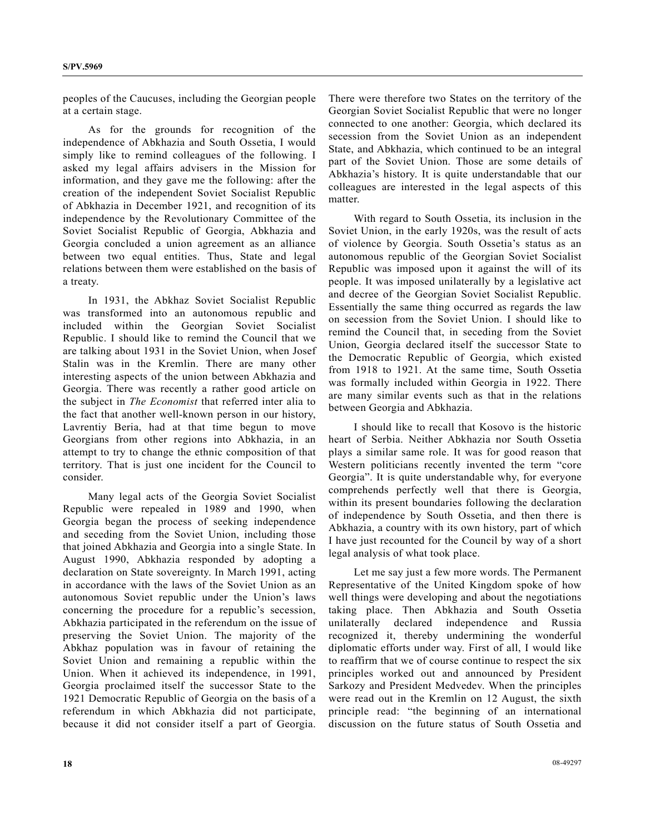peoples of the Caucuses, including the Georgian people at a certain stage.

 As for the grounds for recognition of the independence of Abkhazia and South Ossetia, I would simply like to remind colleagues of the following. I asked my legal affairs advisers in the Mission for information, and they gave me the following: after the creation of the independent Soviet Socialist Republic of Abkhazia in December 1921, and recognition of its independence by the Revolutionary Committee of the Soviet Socialist Republic of Georgia, Abkhazia and Georgia concluded a union agreement as an alliance between two equal entities. Thus, State and legal relations between them were established on the basis of a treaty.

 In 1931, the Abkhaz Soviet Socialist Republic was transformed into an autonomous republic and included within the Georgian Soviet Socialist Republic. I should like to remind the Council that we are talking about 1931 in the Soviet Union, when Josef Stalin was in the Kremlin. There are many other interesting aspects of the union between Abkhazia and Georgia. There was recently a rather good article on the subject in *The Economist* that referred inter alia to the fact that another well-known person in our history, Lavrentiy Beria, had at that time begun to move Georgians from other regions into Abkhazia, in an attempt to try to change the ethnic composition of that territory. That is just one incident for the Council to consider.

 Many legal acts of the Georgia Soviet Socialist Republic were repealed in 1989 and 1990, when Georgia began the process of seeking independence and seceding from the Soviet Union, including those that joined Abkhazia and Georgia into a single State. In August 1990, Abkhazia responded by adopting a declaration on State sovereignty. In March 1991, acting in accordance with the laws of the Soviet Union as an autonomous Soviet republic under the Union's laws concerning the procedure for a republic's secession, Abkhazia participated in the referendum on the issue of preserving the Soviet Union. The majority of the Abkhaz population was in favour of retaining the Soviet Union and remaining a republic within the Union. When it achieved its independence, in 1991, Georgia proclaimed itself the successor State to the 1921 Democratic Republic of Georgia on the basis of a referendum in which Abkhazia did not participate, because it did not consider itself a part of Georgia.

There were therefore two States on the territory of the Georgian Soviet Socialist Republic that were no longer connected to one another: Georgia, which declared its secession from the Soviet Union as an independent State, and Abkhazia, which continued to be an integral part of the Soviet Union. Those are some details of Abkhazia's history. It is quite understandable that our colleagues are interested in the legal aspects of this matter.

 With regard to South Ossetia, its inclusion in the Soviet Union, in the early 1920s, was the result of acts of violence by Georgia. South Ossetia's status as an autonomous republic of the Georgian Soviet Socialist Republic was imposed upon it against the will of its people. It was imposed unilaterally by a legislative act and decree of the Georgian Soviet Socialist Republic. Essentially the same thing occurred as regards the law on secession from the Soviet Union. I should like to remind the Council that, in seceding from the Soviet Union, Georgia declared itself the successor State to the Democratic Republic of Georgia, which existed from 1918 to 1921. At the same time, South Ossetia was formally included within Georgia in 1922. There are many similar events such as that in the relations between Georgia and Abkhazia.

 I should like to recall that Kosovo is the historic heart of Serbia. Neither Abkhazia nor South Ossetia plays a similar same role. It was for good reason that Western politicians recently invented the term "core Georgia". It is quite understandable why, for everyone comprehends perfectly well that there is Georgia, within its present boundaries following the declaration of independence by South Ossetia, and then there is Abkhazia, a country with its own history, part of which I have just recounted for the Council by way of a short legal analysis of what took place.

 Let me say just a few more words. The Permanent Representative of the United Kingdom spoke of how well things were developing and about the negotiations taking place. Then Abkhazia and South Ossetia unilaterally declared independence and Russia recognized it, thereby undermining the wonderful diplomatic efforts under way. First of all, I would like to reaffirm that we of course continue to respect the six principles worked out and announced by President Sarkozy and President Medvedev. When the principles were read out in the Kremlin on 12 August, the sixth principle read: "the beginning of an international discussion on the future status of South Ossetia and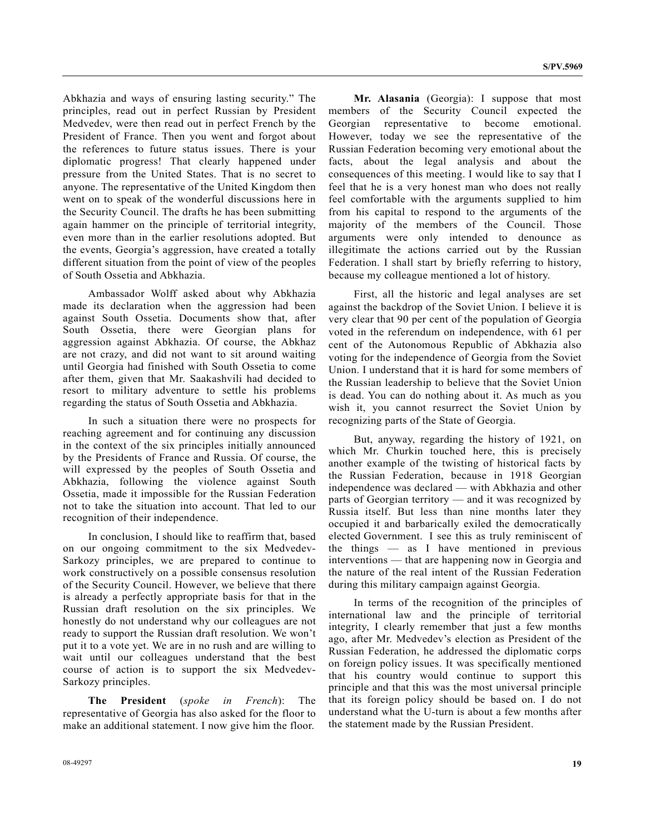Abkhazia and ways of ensuring lasting security." The principles, read out in perfect Russian by President Medvedev, were then read out in perfect French by the President of France. Then you went and forgot about the references to future status issues. There is your diplomatic progress! That clearly happened under pressure from the United States. That is no secret to anyone. The representative of the United Kingdom then went on to speak of the wonderful discussions here in the Security Council. The drafts he has been submitting again hammer on the principle of territorial integrity, even more than in the earlier resolutions adopted. But the events, Georgia's aggression, have created a totally different situation from the point of view of the peoples of South Ossetia and Abkhazia.

 Ambassador Wolff asked about why Abkhazia made its declaration when the aggression had been against South Ossetia. Documents show that, after South Ossetia, there were Georgian plans for aggression against Abkhazia. Of course, the Abkhaz are not crazy, and did not want to sit around waiting until Georgia had finished with South Ossetia to come after them, given that Mr. Saakashvili had decided to resort to military adventure to settle his problems regarding the status of South Ossetia and Abkhazia.

 In such a situation there were no prospects for reaching agreement and for continuing any discussion in the context of the six principles initially announced by the Presidents of France and Russia. Of course, the will expressed by the peoples of South Ossetia and Abkhazia, following the violence against South Ossetia, made it impossible for the Russian Federation not to take the situation into account. That led to our recognition of their independence.

 In conclusion, I should like to reaffirm that, based on our ongoing commitment to the six Medvedev-Sarkozy principles, we are prepared to continue to work constructively on a possible consensus resolution of the Security Council. However, we believe that there is already a perfectly appropriate basis for that in the Russian draft resolution on the six principles. We honestly do not understand why our colleagues are not ready to support the Russian draft resolution. We won't put it to a vote yet. We are in no rush and are willing to wait until our colleagues understand that the best course of action is to support the six Medvedev-Sarkozy principles.

**The President** (*spoke in French*): The representative of Georgia has also asked for the floor to make an additional statement. I now give him the floor.

 **Mr. Alasania** (Georgia): I suppose that most members of the Security Council expected the Georgian representative to become emotional. However, today we see the representative of the Russian Federation becoming very emotional about the facts, about the legal analysis and about the consequences of this meeting. I would like to say that I feel that he is a very honest man who does not really feel comfortable with the arguments supplied to him from his capital to respond to the arguments of the majority of the members of the Council. Those arguments were only intended to denounce as illegitimate the actions carried out by the Russian Federation. I shall start by briefly referring to history, because my colleague mentioned a lot of history.

 First, all the historic and legal analyses are set against the backdrop of the Soviet Union. I believe it is very clear that 90 per cent of the population of Georgia voted in the referendum on independence, with 61 per cent of the Autonomous Republic of Abkhazia also voting for the independence of Georgia from the Soviet Union. I understand that it is hard for some members of the Russian leadership to believe that the Soviet Union is dead. You can do nothing about it. As much as you wish it, you cannot resurrect the Soviet Union by recognizing parts of the State of Georgia.

 But, anyway, regarding the history of 1921, on which Mr. Churkin touched here, this is precisely another example of the twisting of historical facts by the Russian Federation, because in 1918 Georgian independence was declared — with Abkhazia and other parts of Georgian territory — and it was recognized by Russia itself. But less than nine months later they occupied it and barbarically exiled the democratically elected Government. I see this as truly reminiscent of the things — as I have mentioned in previous interventions — that are happening now in Georgia and the nature of the real intent of the Russian Federation during this military campaign against Georgia.

 In terms of the recognition of the principles of international law and the principle of territorial integrity, I clearly remember that just a few months ago, after Mr. Medvedev's election as President of the Russian Federation, he addressed the diplomatic corps on foreign policy issues. It was specifically mentioned that his country would continue to support this principle and that this was the most universal principle that its foreign policy should be based on. I do not understand what the U-turn is about a few months after the statement made by the Russian President.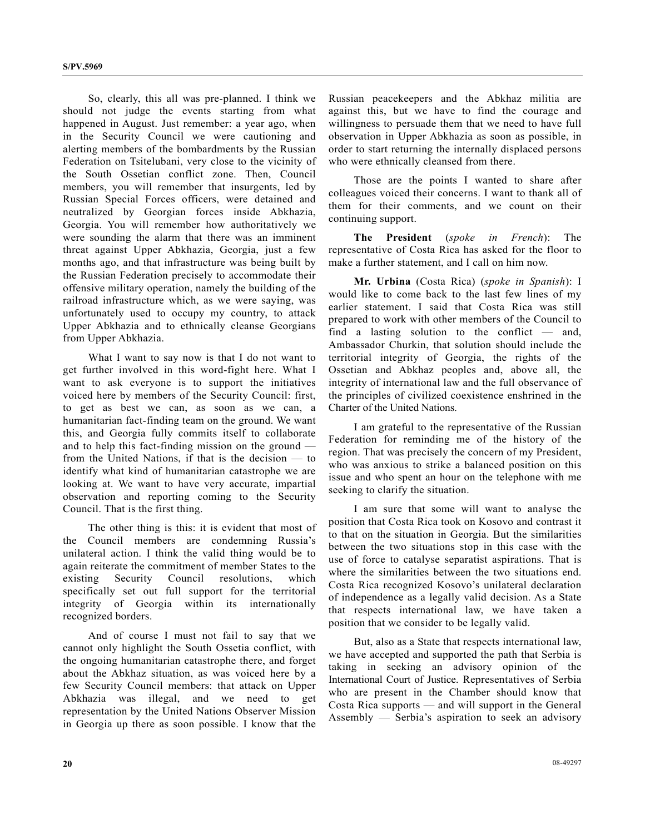So, clearly, this all was pre-planned. I think we should not judge the events starting from what happened in August. Just remember: a year ago, when in the Security Council we were cautioning and alerting members of the bombardments by the Russian Federation on Tsitelubani, very close to the vicinity of the South Ossetian conflict zone. Then, Council members, you will remember that insurgents, led by Russian Special Forces officers, were detained and neutralized by Georgian forces inside Abkhazia, Georgia. You will remember how authoritatively we were sounding the alarm that there was an imminent threat against Upper Abkhazia, Georgia, just a few months ago, and that infrastructure was being built by the Russian Federation precisely to accommodate their offensive military operation, namely the building of the railroad infrastructure which, as we were saying, was unfortunately used to occupy my country, to attack Upper Abkhazia and to ethnically cleanse Georgians from Upper Abkhazia.

 What I want to say now is that I do not want to get further involved in this word-fight here. What I want to ask everyone is to support the initiatives voiced here by members of the Security Council: first, to get as best we can, as soon as we can, a humanitarian fact-finding team on the ground. We want this, and Georgia fully commits itself to collaborate and to help this fact-finding mission on the ground from the United Nations, if that is the decision — to identify what kind of humanitarian catastrophe we are looking at. We want to have very accurate, impartial observation and reporting coming to the Security Council. That is the first thing.

 The other thing is this: it is evident that most of the Council members are condemning Russia's unilateral action. I think the valid thing would be to again reiterate the commitment of member States to the existing Security Council resolutions, which specifically set out full support for the territorial integrity of Georgia within its internationally recognized borders.

 And of course I must not fail to say that we cannot only highlight the South Ossetia conflict, with the ongoing humanitarian catastrophe there, and forget about the Abkhaz situation, as was voiced here by a few Security Council members: that attack on Upper Abkhazia was illegal, and we need to get representation by the United Nations Observer Mission in Georgia up there as soon possible. I know that the

Russian peacekeepers and the Abkhaz militia are against this, but we have to find the courage and willingness to persuade them that we need to have full observation in Upper Abkhazia as soon as possible, in order to start returning the internally displaced persons who were ethnically cleansed from there.

 Those are the points I wanted to share after colleagues voiced their concerns. I want to thank all of them for their comments, and we count on their continuing support.

**The President** (*spoke in French*): The representative of Costa Rica has asked for the floor to make a further statement, and I call on him now.

**Mr. Urbina** (Costa Rica) (*spoke in Spanish*): I would like to come back to the last few lines of my earlier statement. I said that Costa Rica was still prepared to work with other members of the Council to find a lasting solution to the conflict — and, Ambassador Churkin, that solution should include the territorial integrity of Georgia, the rights of the Ossetian and Abkhaz peoples and, above all, the integrity of international law and the full observance of the principles of civilized coexistence enshrined in the Charter of the United Nations.

 I am grateful to the representative of the Russian Federation for reminding me of the history of the region. That was precisely the concern of my President, who was anxious to strike a balanced position on this issue and who spent an hour on the telephone with me seeking to clarify the situation.

 I am sure that some will want to analyse the position that Costa Rica took on Kosovo and contrast it to that on the situation in Georgia. But the similarities between the two situations stop in this case with the use of force to catalyse separatist aspirations. That is where the similarities between the two situations end. Costa Rica recognized Kosovo's unilateral declaration of independence as a legally valid decision. As a State that respects international law, we have taken a position that we consider to be legally valid.

 But, also as a State that respects international law, we have accepted and supported the path that Serbia is taking in seeking an advisory opinion of the International Court of Justice. Representatives of Serbia who are present in the Chamber should know that Costa Rica supports — and will support in the General Assembly — Serbia's aspiration to seek an advisory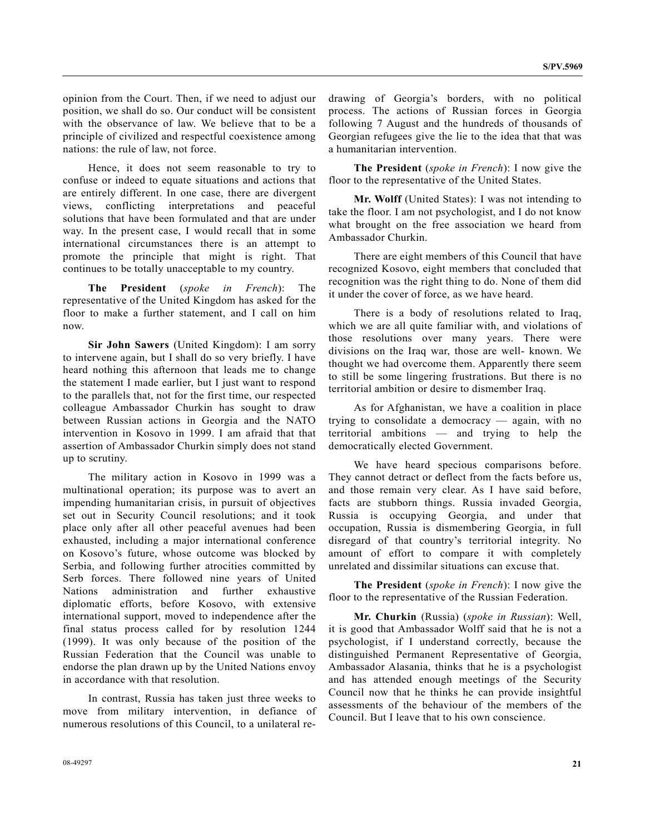opinion from the Court. Then, if we need to adjust our position, we shall do so. Our conduct will be consistent with the observance of law. We believe that to be a principle of civilized and respectful coexistence among nations: the rule of law, not force.

 Hence, it does not seem reasonable to try to confuse or indeed to equate situations and actions that are entirely different. In one case, there are divergent views, conflicting interpretations and peaceful solutions that have been formulated and that are under way. In the present case, I would recall that in some international circumstances there is an attempt to promote the principle that might is right. That continues to be totally unacceptable to my country.

 **The President** (*spoke in French*): The representative of the United Kingdom has asked for the floor to make a further statement, and I call on him now.

 **Sir John Sawers** (United Kingdom): I am sorry to intervene again, but I shall do so very briefly. I have heard nothing this afternoon that leads me to change the statement I made earlier, but I just want to respond to the parallels that, not for the first time, our respected colleague Ambassador Churkin has sought to draw between Russian actions in Georgia and the NATO intervention in Kosovo in 1999. I am afraid that that assertion of Ambassador Churkin simply does not stand up to scrutiny.

 The military action in Kosovo in 1999 was a multinational operation; its purpose was to avert an impending humanitarian crisis, in pursuit of objectives set out in Security Council resolutions; and it took place only after all other peaceful avenues had been exhausted, including a major international conference on Kosovo's future, whose outcome was blocked by Serbia, and following further atrocities committed by Serb forces. There followed nine years of United Nations administration and further exhaustive diplomatic efforts, before Kosovo, with extensive international support, moved to independence after the final status process called for by resolution 1244 (1999). It was only because of the position of the Russian Federation that the Council was unable to endorse the plan drawn up by the United Nations envoy in accordance with that resolution.

 In contrast, Russia has taken just three weeks to move from military intervention, in defiance of numerous resolutions of this Council, to a unilateral redrawing of Georgia's borders, with no political process. The actions of Russian forces in Georgia following 7 August and the hundreds of thousands of Georgian refugees give the lie to the idea that that was a humanitarian intervention.

**The President** (*spoke in French*): I now give the floor to the representative of the United States.

**Mr. Wolff** (United States): I was not intending to take the floor. I am not psychologist, and I do not know what brought on the free association we heard from Ambassador Churkin.

 There are eight members of this Council that have recognized Kosovo, eight members that concluded that recognition was the right thing to do. None of them did it under the cover of force, as we have heard.

 There is a body of resolutions related to Iraq, which we are all quite familiar with, and violations of those resolutions over many years. There were divisions on the Iraq war, those are well- known. We thought we had overcome them. Apparently there seem to still be some lingering frustrations. But there is no territorial ambition or desire to dismember Iraq.

 As for Afghanistan, we have a coalition in place trying to consolidate a democracy — again, with no territorial ambitions — and trying to help the democratically elected Government.

 We have heard specious comparisons before. They cannot detract or deflect from the facts before us, and those remain very clear. As I have said before, facts are stubborn things. Russia invaded Georgia, Russia is occupying Georgia, and under that occupation, Russia is dismembering Georgia, in full disregard of that country's territorial integrity. No amount of effort to compare it with completely unrelated and dissimilar situations can excuse that.

**The President** (*spoke in French*): I now give the floor to the representative of the Russian Federation.

**Mr. Churkin** (Russia) (*spoke in Russian*): Well, it is good that Ambassador Wolff said that he is not a psychologist, if I understand correctly, because the distinguished Permanent Representative of Georgia, Ambassador Alasania, thinks that he is a psychologist and has attended enough meetings of the Security Council now that he thinks he can provide insightful assessments of the behaviour of the members of the Council. But I leave that to his own conscience.